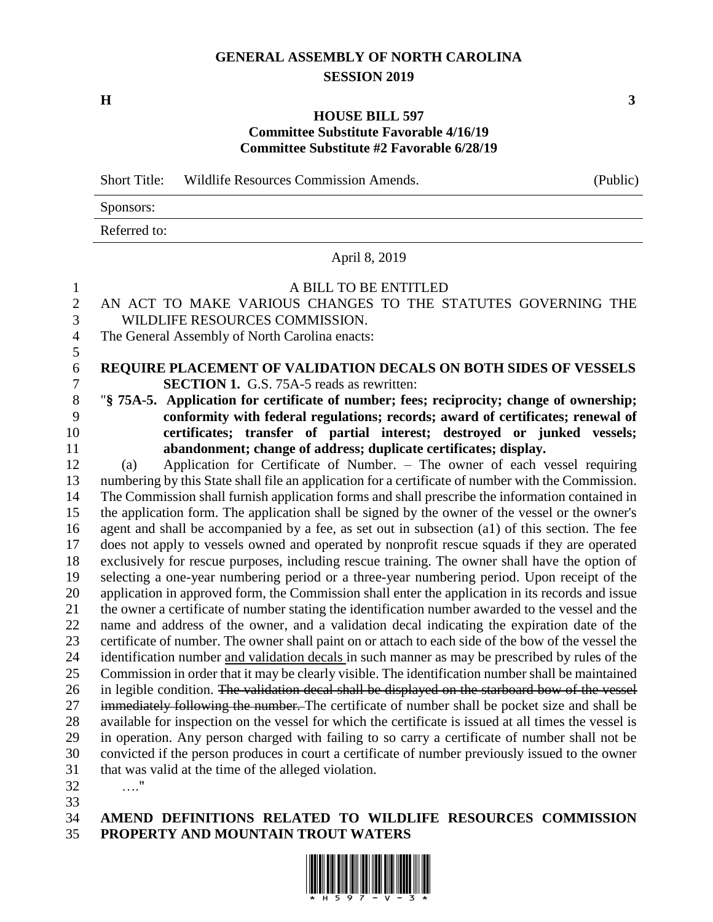#### **GENERAL ASSEMBLY OF NORTH CAROLINA SESSION 2019**

**H 3**

#### **HOUSE BILL 597 Committee Substitute Favorable 4/16/19 Committee Substitute #2 Favorable 6/28/19**

Short Title: Wildlife Resources Commission Amends. (Public) Sponsors: Referred to:

April 8, 2019

# A BILL TO BE ENTITLED AN ACT TO MAKE VARIOUS CHANGES TO THE STATUTES GOVERNING THE WILDLIFE RESOURCES COMMISSION. The General Assembly of North Carolina enacts: **REQUIRE PLACEMENT OF VALIDATION DECALS ON BOTH SIDES OF VESSELS SECTION 1.** G.S. 75A-5 reads as rewritten: (a) Application for Certificate of Number. – The owner of each vessel requiring

 "**§ 75A-5. Application for certificate of number; fees; reciprocity; change of ownership; conformity with federal regulations; records; award of certificates; renewal of certificates; transfer of partial interest; destroyed or junked vessels; abandonment; change of address; duplicate certificates; display.**

 numbering by this State shall file an application for a certificate of number with the Commission. The Commission shall furnish application forms and shall prescribe the information contained in the application form. The application shall be signed by the owner of the vessel or the owner's agent and shall be accompanied by a fee, as set out in subsection (a1) of this section. The fee does not apply to vessels owned and operated by nonprofit rescue squads if they are operated exclusively for rescue purposes, including rescue training. The owner shall have the option of selecting a one-year numbering period or a three-year numbering period. Upon receipt of the application in approved form, the Commission shall enter the application in its records and issue the owner a certificate of number stating the identification number awarded to the vessel and the name and address of the owner, and a validation decal indicating the expiration date of the certificate of number. The owner shall paint on or attach to each side of the bow of the vessel the identification number and validation decals in such manner as may be prescribed by rules of the Commission in order that it may be clearly visible. The identification number shall be maintained 26 in legible condition. The validation decal shall be displayed on the starboard bow of the vessel 27 immediately following the number. The certificate of number shall be pocket size and shall be available for inspection on the vessel for which the certificate is issued at all times the vessel is in operation. Any person charged with failing to so carry a certificate of number shall not be convicted if the person produces in court a certificate of number previously issued to the owner that was valid at the time of the alleged violation.

…."

#### **AMEND DEFINITIONS RELATED TO WILDLIFE RESOURCES COMMISSION PROPERTY AND MOUNTAIN TROUT WATERS**

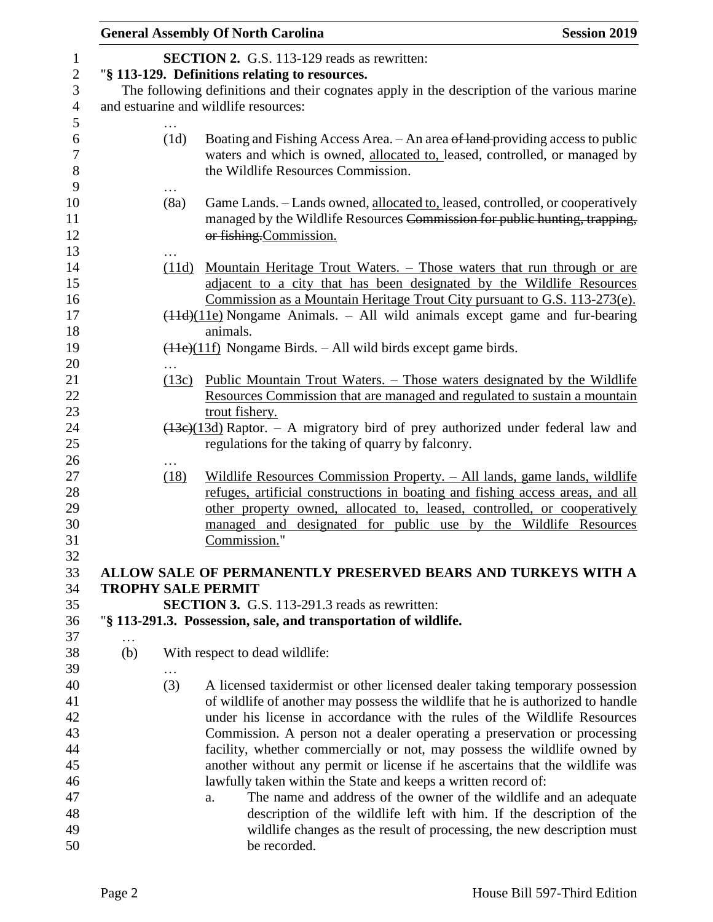|     |       | <b>General Assembly Of North Carolina</b>                                                                                                                                                                                                                                                                                                                                                                                                                                                                                                                                                                                                                                                               | <b>Session 2019</b> |
|-----|-------|---------------------------------------------------------------------------------------------------------------------------------------------------------------------------------------------------------------------------------------------------------------------------------------------------------------------------------------------------------------------------------------------------------------------------------------------------------------------------------------------------------------------------------------------------------------------------------------------------------------------------------------------------------------------------------------------------------|---------------------|
|     |       | <b>SECTION 2.</b> G.S. 113-129 reads as rewritten:<br>"§ 113-129. Definitions relating to resources.<br>The following definitions and their cognates apply in the description of the various marine                                                                                                                                                                                                                                                                                                                                                                                                                                                                                                     |                     |
|     |       | and estuarine and wildlife resources:                                                                                                                                                                                                                                                                                                                                                                                                                                                                                                                                                                                                                                                                   |                     |
|     | (1d)  | Boating and Fishing Access Area. - An area of land-providing access to public<br>waters and which is owned, allocated to, leased, controlled, or managed by<br>the Wildlife Resources Commission.                                                                                                                                                                                                                                                                                                                                                                                                                                                                                                       |                     |
|     | (8a)  | Game Lands. - Lands owned, allocated to, leased, controlled, or cooperatively<br>managed by the Wildlife Resources Commission for public hunting, trapping,<br>or fishing.Commission.                                                                                                                                                                                                                                                                                                                                                                                                                                                                                                                   |                     |
|     | (11d) | <u>Mountain Heritage Trout Waters. – Those waters that run through or are</u><br>adjacent to a city that has been designated by the Wildlife Resources<br>Commission as a Mountain Heritage Trout City pursuant to G.S. 113-273(e).                                                                                                                                                                                                                                                                                                                                                                                                                                                                     |                     |
|     |       | $(11d)(11e)$ Nongame Animals. – All wild animals except game and fur-bearing                                                                                                                                                                                                                                                                                                                                                                                                                                                                                                                                                                                                                            |                     |
|     |       | animals.<br>$(11e)(11f)$ Nongame Birds. – All wild birds except game birds.                                                                                                                                                                                                                                                                                                                                                                                                                                                                                                                                                                                                                             |                     |
|     |       |                                                                                                                                                                                                                                                                                                                                                                                                                                                                                                                                                                                                                                                                                                         |                     |
|     | (13c) | <u> Public Mountain Trout Waters. – Those waters designated by the Wildlife</u><br>Resources Commission that are managed and regulated to sustain a mountain<br>trout fishery.                                                                                                                                                                                                                                                                                                                                                                                                                                                                                                                          |                     |
|     |       | $\frac{(13e)(13d)}{43e}$ Raptor. – A migratory bird of prey authorized under federal law and<br>regulations for the taking of quarry by falconry.                                                                                                                                                                                                                                                                                                                                                                                                                                                                                                                                                       |                     |
|     | (18)  | Wildlife Resources Commission Property. - All lands, game lands, wildlife<br>refuges, artificial constructions in boating and fishing access areas, and all<br>other property owned, allocated to, leased, controlled, or cooperatively<br>managed and designated for public use by the Wildlife Resources<br>Commission."                                                                                                                                                                                                                                                                                                                                                                              |                     |
|     |       | ALLOW SALE OF PERMANENTLY PRESERVED BEARS AND TURKEYS WITH A                                                                                                                                                                                                                                                                                                                                                                                                                                                                                                                                                                                                                                            |                     |
|     |       | <b>TROPHY SALE PERMIT</b><br><b>SECTION 3.</b> G.S. 113-291.3 reads as rewritten:                                                                                                                                                                                                                                                                                                                                                                                                                                                                                                                                                                                                                       |                     |
|     |       | "§ 113-291.3. Possession, sale, and transportation of wildlife.                                                                                                                                                                                                                                                                                                                                                                                                                                                                                                                                                                                                                                         |                     |
| (b) |       | With respect to dead wildlife:                                                                                                                                                                                                                                                                                                                                                                                                                                                                                                                                                                                                                                                                          |                     |
|     | (3)   | A licensed taxidermist or other licensed dealer taking temporary possession<br>of wildlife of another may possess the wildlife that he is authorized to handle<br>under his license in accordance with the rules of the Wildlife Resources<br>Commission. A person not a dealer operating a preservation or processing<br>facility, whether commercially or not, may possess the wildlife owned by<br>another without any permit or license if he ascertains that the wildlife was<br>lawfully taken within the State and keeps a written record of:<br>The name and address of the owner of the wildlife and an adequate<br>a.<br>description of the wildlife left with him. If the description of the |                     |
|     |       | wildlife changes as the result of processing, the new description must<br>be recorded.                                                                                                                                                                                                                                                                                                                                                                                                                                                                                                                                                                                                                  |                     |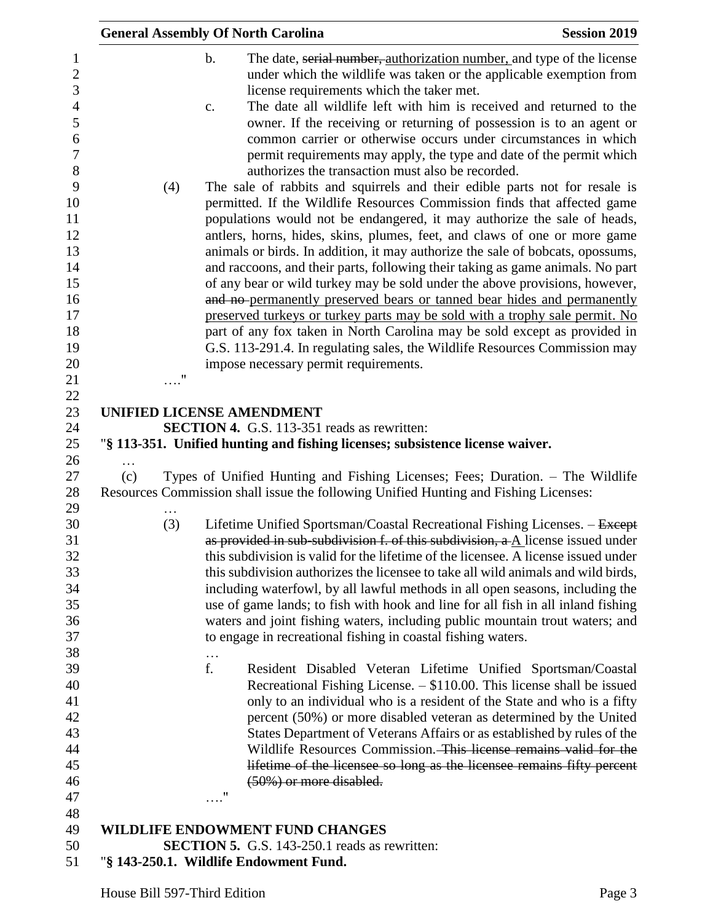|     | <b>General Assembly Of North Carolina</b>                                                                                                                                                                                                                                                                                                                                                                                                                                                                                                                                                                                                                                                                                                                                                                                                                                                                                                                                                                                                                                                                                                                                                                                                                                                                                                                                                                                                                          | <b>Session 2019</b> |
|-----|--------------------------------------------------------------------------------------------------------------------------------------------------------------------------------------------------------------------------------------------------------------------------------------------------------------------------------------------------------------------------------------------------------------------------------------------------------------------------------------------------------------------------------------------------------------------------------------------------------------------------------------------------------------------------------------------------------------------------------------------------------------------------------------------------------------------------------------------------------------------------------------------------------------------------------------------------------------------------------------------------------------------------------------------------------------------------------------------------------------------------------------------------------------------------------------------------------------------------------------------------------------------------------------------------------------------------------------------------------------------------------------------------------------------------------------------------------------------|---------------------|
|     | $\mathbf b$ .<br>The date, serial number, authorization number, and type of the license<br>under which the wildlife was taken or the applicable exemption from<br>license requirements which the taker met.<br>The date all wildlife left with him is received and returned to the<br>c.<br>owner. If the receiving or returning of possession is to an agent or<br>common carrier or otherwise occurs under circumstances in which<br>permit requirements may apply, the type and date of the permit which<br>authorizes the transaction must also be recorded.<br>The sale of rabbits and squirrels and their edible parts not for resale is<br>(4)<br>permitted. If the Wildlife Resources Commission finds that affected game<br>populations would not be endangered, it may authorize the sale of heads,<br>antlers, horns, hides, skins, plumes, feet, and claws of one or more game<br>animals or birds. In addition, it may authorize the sale of bobcats, opossums,<br>and raccoons, and their parts, following their taking as game animals. No part<br>of any bear or wild turkey may be sold under the above provisions, however,<br>and no-permanently preserved bears or tanned bear hides and permanently<br>preserved turkeys or turkey parts may be sold with a trophy sale permit. No<br>part of any fox taken in North Carolina may be sold except as provided in<br>G.S. 113-291.4. In regulating sales, the Wildlife Resources Commission may |                     |
|     | impose necessary permit requirements.                                                                                                                                                                                                                                                                                                                                                                                                                                                                                                                                                                                                                                                                                                                                                                                                                                                                                                                                                                                                                                                                                                                                                                                                                                                                                                                                                                                                                              |                     |
|     | 11                                                                                                                                                                                                                                                                                                                                                                                                                                                                                                                                                                                                                                                                                                                                                                                                                                                                                                                                                                                                                                                                                                                                                                                                                                                                                                                                                                                                                                                                 |                     |
|     |                                                                                                                                                                                                                                                                                                                                                                                                                                                                                                                                                                                                                                                                                                                                                                                                                                                                                                                                                                                                                                                                                                                                                                                                                                                                                                                                                                                                                                                                    |                     |
|     | UNIFIED LICENSE AMENDMENT<br><b>SECTION 4.</b> G.S. 113-351 reads as rewritten:                                                                                                                                                                                                                                                                                                                                                                                                                                                                                                                                                                                                                                                                                                                                                                                                                                                                                                                                                                                                                                                                                                                                                                                                                                                                                                                                                                                    |                     |
|     | "§ 113-351. Unified hunting and fishing licenses; subsistence license waiver.                                                                                                                                                                                                                                                                                                                                                                                                                                                                                                                                                                                                                                                                                                                                                                                                                                                                                                                                                                                                                                                                                                                                                                                                                                                                                                                                                                                      |                     |
|     |                                                                                                                                                                                                                                                                                                                                                                                                                                                                                                                                                                                                                                                                                                                                                                                                                                                                                                                                                                                                                                                                                                                                                                                                                                                                                                                                                                                                                                                                    |                     |
| (c) | Types of Unified Hunting and Fishing Licenses; Fees; Duration. – The Wildlife<br>Resources Commission shall issue the following Unified Hunting and Fishing Licenses:                                                                                                                                                                                                                                                                                                                                                                                                                                                                                                                                                                                                                                                                                                                                                                                                                                                                                                                                                                                                                                                                                                                                                                                                                                                                                              |                     |
|     | (3)<br>Lifetime Unified Sportsman/Coastal Recreational Fishing Licenses. - Except<br>as provided in sub-subdivision f. of this subdivision, a A license issued under<br>this subdivision is valid for the lifetime of the licensee. A license issued under<br>this subdivision authorizes the licensee to take all wild animals and wild birds,<br>including waterfowl, by all lawful methods in all open seasons, including the<br>use of game lands; to fish with hook and line for all fish in all inland fishing<br>waters and joint fishing waters, including public mountain trout waters; and<br>to engage in recreational fishing in coastal fishing waters.                                                                                                                                                                                                                                                                                                                                                                                                                                                                                                                                                                                                                                                                                                                                                                                               |                     |
|     | $\ddots$<br>f.<br>Resident Disabled Veteran Lifetime Unified Sportsman/Coastal<br>Recreational Fishing License. $-$ \$110.00. This license shall be issued<br>only to an individual who is a resident of the State and who is a fifty<br>percent (50%) or more disabled veteran as determined by the United<br>States Department of Veterans Affairs or as established by rules of the<br>Wildlife Resources Commission. This license remains valid for the<br>lifetime of the licensee so long as the licensee remains fifty percent<br>(50%) or more disabled.<br>11                                                                                                                                                                                                                                                                                                                                                                                                                                                                                                                                                                                                                                                                                                                                                                                                                                                                                             |                     |
|     | WILDLIFE ENDOWMENT FUND CHANGES                                                                                                                                                                                                                                                                                                                                                                                                                                                                                                                                                                                                                                                                                                                                                                                                                                                                                                                                                                                                                                                                                                                                                                                                                                                                                                                                                                                                                                    |                     |
|     | <b>SECTION 5.</b> G.S. 143-250.1 reads as rewritten:                                                                                                                                                                                                                                                                                                                                                                                                                                                                                                                                                                                                                                                                                                                                                                                                                                                                                                                                                                                                                                                                                                                                                                                                                                                                                                                                                                                                               |                     |

"**§ 143-250.1. Wildlife Endowment Fund.**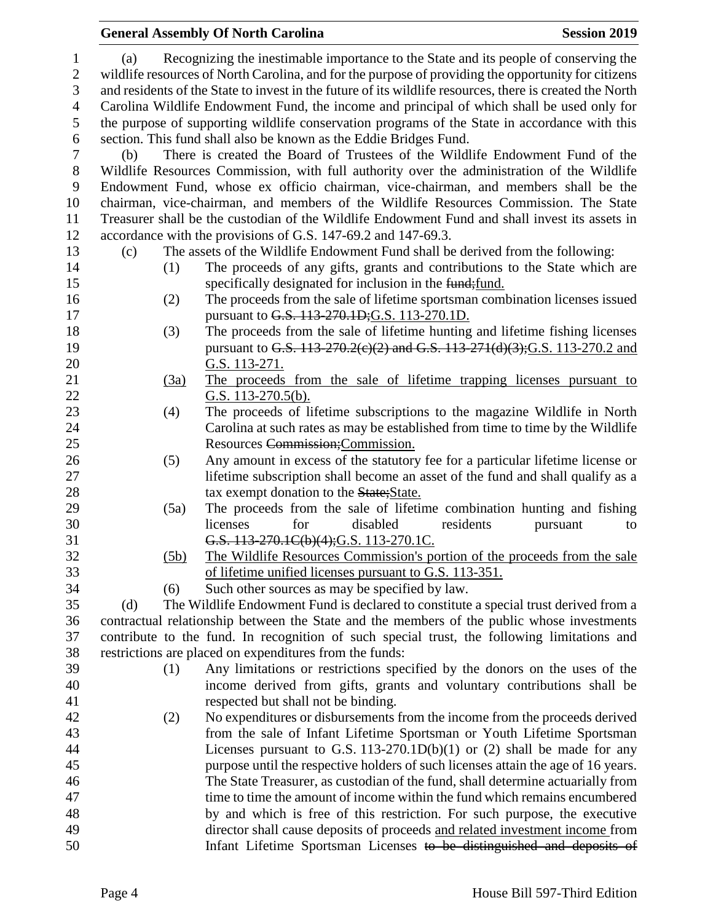#### **General Assembly Of North Carolina Session 2019 Session 2019**  (a) Recognizing the inestimable importance to the State and its people of conserving the wildlife resources of North Carolina, and for the purpose of providing the opportunity for citizens and residents of the State to invest in the future of its wildlife resources, there is created the North Carolina Wildlife Endowment Fund, the income and principal of which shall be used only for the purpose of supporting wildlife conservation programs of the State in accordance with this section. This fund shall also be known as the Eddie Bridges Fund. (b) There is created the Board of Trustees of the Wildlife Endowment Fund of the Wildlife Resources Commission, with full authority over the administration of the Wildlife Endowment Fund, whose ex officio chairman, vice-chairman, and members shall be the chairman, vice-chairman, and members of the Wildlife Resources Commission. The State Treasurer shall be the custodian of the Wildlife Endowment Fund and shall invest its assets in accordance with the provisions of G.S. 147-69.2 and 147-69.3. (c) The assets of the Wildlife Endowment Fund shall be derived from the following: (1) The proceeds of any gifts, grants and contributions to the State which are 15 specifically designated for inclusion in the funder specifically designated for inclusion in the fund- (2) The proceeds from the sale of lifetime sportsman combination licenses issued **pursuant to G.S. 113-270.1D; G.S.** 113-270.1D. (3) The proceeds from the sale of lifetime hunting and lifetime fishing licenses 19 pursuant to G.S. 113-270.2(c)(2) and G.S. 113-271(d)(3); G.S. 113-270.2 and G.S. 113-271. (3a) The proceeds from the sale of lifetime trapping licenses pursuant to G.S. 113-270.5(b). (4) The proceeds of lifetime subscriptions to the magazine Wildlife in North Carolina at such rates as may be established from time to time by the Wildlife Resources Commission;Commission. (5) Any amount in excess of the statutory fee for a particular lifetime license or lifetime subscription shall become an asset of the fund and shall qualify as a 28 tax exempt donation to the State; State. (5a) The proceeds from the sale of lifetime combination hunting and fishing licenses for disabled residents pursuant to G.S. 113-270.1C(b)(4);G.S. 113-270.1C. (5b) The Wildlife Resources Commission's portion of the proceeds from the sale of lifetime unified licenses pursuant to G.S. 113-351. (6) Such other sources as may be specified by law. (d) The Wildlife Endowment Fund is declared to constitute a special trust derived from a contractual relationship between the State and the members of the public whose investments contribute to the fund. In recognition of such special trust, the following limitations and restrictions are placed on expenditures from the funds: (1) Any limitations or restrictions specified by the donors on the uses of the income derived from gifts, grants and voluntary contributions shall be respected but shall not be binding. (2) No expenditures or disbursements from the income from the proceeds derived from the sale of Infant Lifetime Sportsman or Youth Lifetime Sportsman Licenses pursuant to G.S. 113-270.1D(b)(1) or (2) shall be made for any purpose until the respective holders of such licenses attain the age of 16 years. The State Treasurer, as custodian of the fund, shall determine actuarially from time to time the amount of income within the fund which remains encumbered by and which is free of this restriction. For such purpose, the executive director shall cause deposits of proceeds and related investment income from Infant Lifetime Sportsman Licenses to be distinguished and deposits of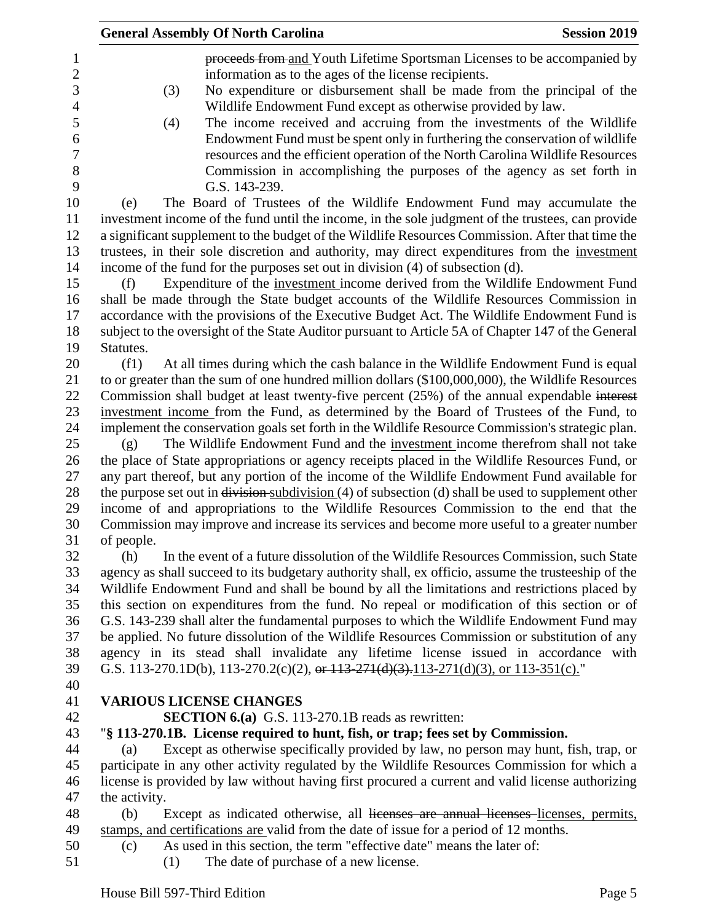|                | <b>Session 2019</b><br><b>General Assembly Of North Carolina</b>                                                                                                                    |
|----------------|-------------------------------------------------------------------------------------------------------------------------------------------------------------------------------------|
| $\mathbf{1}$   | proceeds from and Youth Lifetime Sportsman Licenses to be accompanied by                                                                                                            |
| $\overline{c}$ | information as to the ages of the license recipients.                                                                                                                               |
| 3              | No expenditure or disbursement shall be made from the principal of the<br>(3)                                                                                                       |
| $\overline{4}$ | Wildlife Endowment Fund except as otherwise provided by law.                                                                                                                        |
| 5              | The income received and accruing from the investments of the Wildlife<br>(4)                                                                                                        |
| 6              | Endowment Fund must be spent only in furthering the conservation of wildlife                                                                                                        |
| $\tau$         | resources and the efficient operation of the North Carolina Wildlife Resources                                                                                                      |
| 8              | Commission in accomplishing the purposes of the agency as set forth in                                                                                                              |
| 9              | G.S. 143-239.                                                                                                                                                                       |
| 10             | The Board of Trustees of the Wildlife Endowment Fund may accumulate the                                                                                                             |
| 11             | (e)                                                                                                                                                                                 |
| 12             | investment income of the fund until the income, in the sole judgment of the trustees, can provide                                                                                   |
|                | a significant supplement to the budget of the Wildlife Resources Commission. After that time the                                                                                    |
| 13             | trustees, in their sole discretion and authority, may direct expenditures from the investment                                                                                       |
| 14             | income of the fund for the purposes set out in division (4) of subsection (d).                                                                                                      |
| 15             | Expenditure of the investment income derived from the Wildlife Endowment Fund<br>(f)                                                                                                |
| 16             | shall be made through the State budget accounts of the Wildlife Resources Commission in                                                                                             |
| 17             | accordance with the provisions of the Executive Budget Act. The Wildlife Endowment Fund is                                                                                          |
| 18             | subject to the oversight of the State Auditor pursuant to Article 5A of Chapter 147 of the General                                                                                  |
| 19             | Statutes.                                                                                                                                                                           |
| 20             | (f1)<br>At all times during which the cash balance in the Wildlife Endowment Fund is equal                                                                                          |
| 21             | to or greater than the sum of one hundred million dollars (\$100,000,000), the Wildlife Resources                                                                                   |
| 22             | Commission shall budget at least twenty-five percent (25%) of the annual expendable interest                                                                                        |
| 23             | investment income from the Fund, as determined by the Board of Trustees of the Fund, to                                                                                             |
| 24             | implement the conservation goals set forth in the Wildlife Resource Commission's strategic plan.                                                                                    |
| 25             | The Wildlife Endowment Fund and the investment income therefrom shall not take<br>(g)                                                                                               |
| 26             | the place of State appropriations or agency receipts placed in the Wildlife Resources Fund, or                                                                                      |
| 27             | any part thereof, but any portion of the income of the Wildlife Endowment Fund available for                                                                                        |
| 28             | the purpose set out in $\frac{division \text{subdivision}}{4}$ of subsection (d) shall be used to supplement other                                                                  |
| 29             | income of and appropriations to the Wildlife Resources Commission to the end that the                                                                                               |
| 30             | Commission may improve and increase its services and become more useful to a greater number                                                                                         |
| 31             | of people.                                                                                                                                                                          |
| 32             | In the event of a future dissolution of the Wildlife Resources Commission, such State<br>(h)                                                                                        |
| 33             | agency as shall succeed to its budgetary authority shall, ex officio, assume the trusteeship of the                                                                                 |
| 34             | Wildlife Endowment Fund and shall be bound by all the limitations and restrictions placed by                                                                                        |
| 35             | this section on expenditures from the fund. No repeal or modification of this section or of                                                                                         |
| 36             | G.S. 143-239 shall alter the fundamental purposes to which the Wildlife Endowment Fund may                                                                                          |
| 37             | be applied. No future dissolution of the Wildlife Resources Commission or substitution of any                                                                                       |
| 38             | agency in its stead shall invalidate any lifetime license issued in accordance with                                                                                                 |
| 39             | G.S. 113-270.1D(b), 113-270.2(c)(2), or $113-271(d)(3)$ , $113-271(d)(3)$ , or $113-351(c)$ ."                                                                                      |
| 40             |                                                                                                                                                                                     |
| 41             | <b>VARIOUS LICENSE CHANGES</b>                                                                                                                                                      |
| 42             | <b>SECTION 6.(a)</b> G.S. 113-270.1B reads as rewritten:                                                                                                                            |
| 43             | "\\$ 113-270.1B. License required to hunt, fish, or trap; fees set by Commission.                                                                                                   |
| 44             | Except as otherwise specifically provided by law, no person may hunt, fish, trap, or<br>(a)                                                                                         |
| 45             | participate in any other activity regulated by the Wildlife Resources Commission for which a                                                                                        |
| 46<br>47       | license is provided by law without having first procured a current and valid license authorizing                                                                                    |
|                | the activity.                                                                                                                                                                       |
| 48<br>49       | (b)<br>Except as indicated otherwise, all licenses are annual licenses licenses, permits,<br>stamps, and certifications are valid from the date of issue for a period of 12 months. |
| 50             | As used in this section, the term "effective date" means the later of:                                                                                                              |
| 51             | (c)                                                                                                                                                                                 |
|                | The date of purchase of a new license.<br>(1)                                                                                                                                       |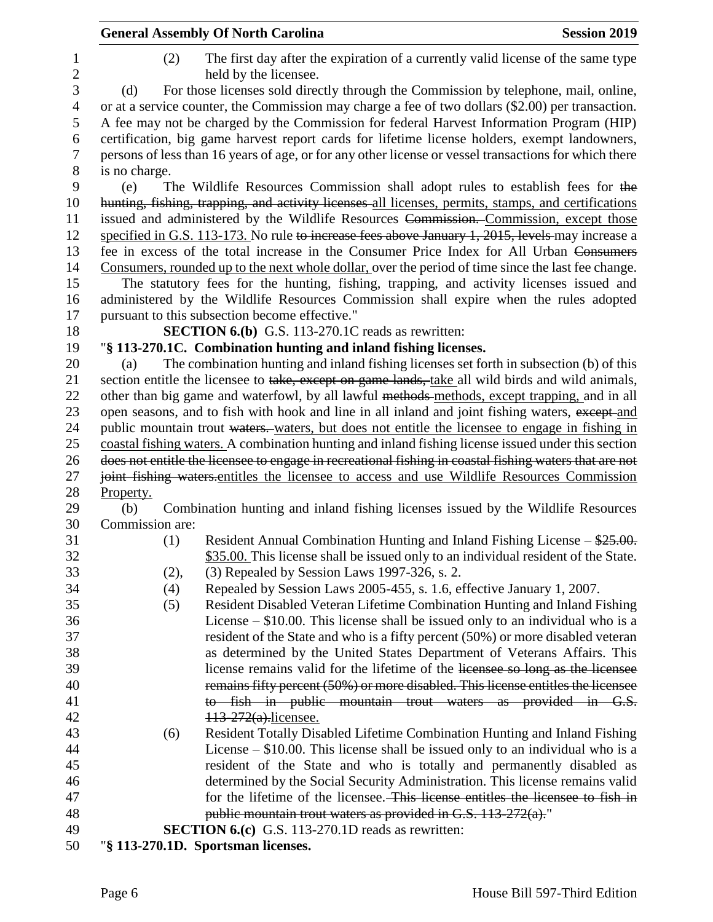|                 | <b>General Assembly Of North Carolina</b>                                                                 | <b>Session 2019</b> |
|-----------------|-----------------------------------------------------------------------------------------------------------|---------------------|
| (2)             | The first day after the expiration of a currently valid license of the same type<br>held by the licensee. |                     |
| (d)             | For those licenses sold directly through the Commission by telephone, mail, online,                       |                     |
|                 | or at a service counter, the Commission may charge a fee of two dollars (\$2.00) per transaction.         |                     |
|                 | A fee may not be charged by the Commission for federal Harvest Information Program (HIP)                  |                     |
|                 | certification, big game harvest report cards for lifetime license holders, exempt landowners,             |                     |
|                 | persons of less than 16 years of age, or for any other license or vessel transactions for which there     |                     |
| is no charge.   |                                                                                                           |                     |
| (e)             | The Wildlife Resources Commission shall adopt rules to establish fees for the                             |                     |
|                 | hunting, fishing, trapping, and activity licenses all licenses, permits, stamps, and certifications       |                     |
|                 | issued and administered by the Wildlife Resources Commission. Commission, except those                    |                     |
|                 | specified in G.S. 113-173. No rule to increase fees above January 1, 2015, levels may increase a          |                     |
|                 | fee in excess of the total increase in the Consumer Price Index for All Urban Consumers                   |                     |
|                 | Consumers, rounded up to the next whole dollar, over the period of time since the last fee change.        |                     |
|                 | The statutory fees for the hunting, fishing, trapping, and activity licenses issued and                   |                     |
|                 | administered by the Wildlife Resources Commission shall expire when the rules adopted                     |                     |
|                 | pursuant to this subsection become effective."                                                            |                     |
|                 | <b>SECTION 6.(b)</b> G.S. 113-270.1C reads as rewritten:                                                  |                     |
|                 | "§ 113-270.1C. Combination hunting and inland fishing licenses.                                           |                     |
| (a)             | The combination hunting and inland fishing licenses set forth in subsection (b) of this                   |                     |
|                 | section entitle the licensee to take, except on game lands, take all wild birds and wild animals,         |                     |
|                 | other than big game and waterfowl, by all lawful methods-methods, except trapping, and in all             |                     |
|                 | open seasons, and to fish with hook and line in all inland and joint fishing waters, except and           |                     |
|                 | public mountain trout waters. waters, but does not entitle the licensee to engage in fishing in           |                     |
|                 | coastal fishing waters. A combination hunting and inland fishing license issued under this section        |                     |
|                 | does not entitle the licensee to engage in recreational fishing in coastal fishing waters that are not    |                     |
|                 | joint fishing waters-entitles the licensee to access and use Wildlife Resources Commission                |                     |
| Property.       |                                                                                                           |                     |
| (b)             | Combination hunting and inland fishing licenses issued by the Wildlife Resources                          |                     |
| Commission are: |                                                                                                           |                     |
| (1)             | Resident Annual Combination Hunting and Inland Fishing License $-\frac{$25.00}{}$ .                       |                     |
|                 | \$35.00. This license shall be issued only to an individual resident of the State.                        |                     |
| (2),            | (3) Repealed by Session Laws 1997-326, s. 2.                                                              |                     |
| (4)             | Repealed by Session Laws 2005-455, s. 1.6, effective January 1, 2007.                                     |                     |
| (5)             | Resident Disabled Veteran Lifetime Combination Hunting and Inland Fishing                                 |                     |
|                 | License $-$ \$10.00. This license shall be issued only to an individual who is a                          |                     |
|                 | resident of the State and who is a fifty percent (50%) or more disabled veteran                           |                     |
|                 | as determined by the United States Department of Veterans Affairs. This                                   |                     |
|                 | license remains valid for the lifetime of the licensee so long as the licensee                            |                     |
|                 | remains fifty percent (50%) or more disabled. This license entitles the licensee                          |                     |
|                 | to fish in public mountain trout waters as provided in G.S.                                               |                     |
|                 | 113-272(a).licensee.                                                                                      |                     |
| (6)             | Resident Totally Disabled Lifetime Combination Hunting and Inland Fishing                                 |                     |
|                 | License $-$ \$10.00. This license shall be issued only to an individual who is a                          |                     |
|                 | resident of the State and who is totally and permanently disabled as                                      |                     |
|                 | determined by the Social Security Administration. This license remains valid                              |                     |
|                 | for the lifetime of the licensee. This license entitles the licensee to fish in                           |                     |
|                 | public mountain trout waters as provided in G.S. 113-272(a)."                                             |                     |
|                 | <b>SECTION 6.(c)</b> G.S. 113-270.1D reads as rewritten:                                                  |                     |
|                 | "§ 113-270.1D. Sportsman licenses.                                                                        |                     |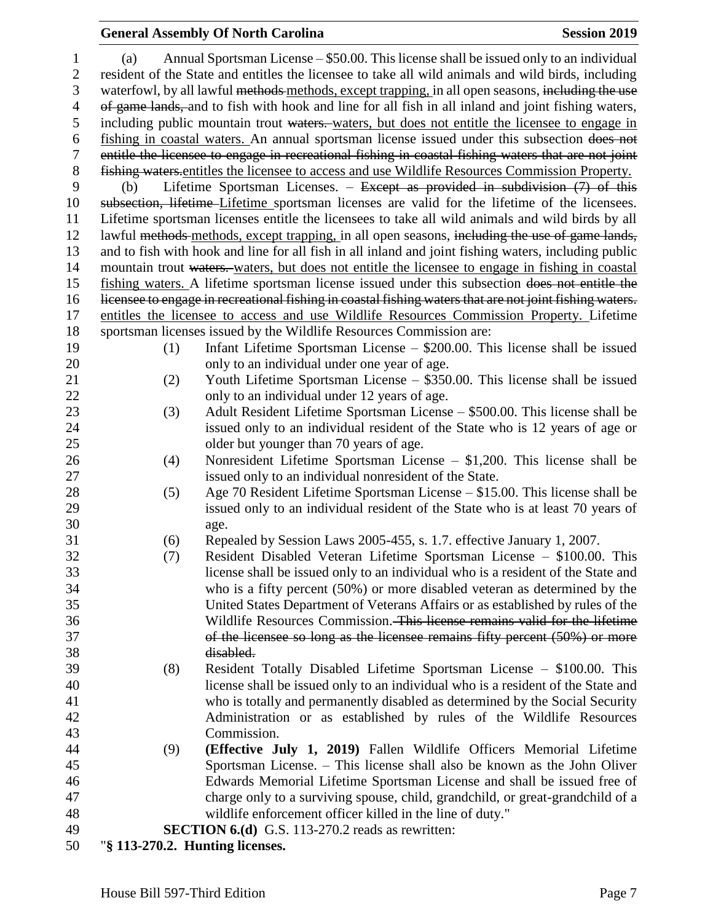## **General Assembly Of North Carolina Session 2019**

| $\mathbf{1}$   | (a)                                                                                                | Annual Sportsman License – \$50.00. This license shall be issued only to an individual                  |  |  |  |
|----------------|----------------------------------------------------------------------------------------------------|---------------------------------------------------------------------------------------------------------|--|--|--|
| $\overline{c}$ |                                                                                                    | resident of the State and entitles the licensee to take all wild animals and wild birds, including      |  |  |  |
| 3              | waterfowl, by all lawful methods methods, except trapping, in all open seasons, including the use  |                                                                                                         |  |  |  |
| $\overline{4}$ | of game lands, and to fish with hook and line for all fish in all inland and joint fishing waters, |                                                                                                         |  |  |  |
| 5              |                                                                                                    | including public mountain trout waters. waters, but does not entitle the licensee to engage in          |  |  |  |
| 6              |                                                                                                    | fishing in coastal waters. An annual sportsman license issued under this subsection does not            |  |  |  |
| $\tau$         |                                                                                                    | entitle the licensee to engage in recreational fishing in coastal fishing waters that are not joint     |  |  |  |
| $8\,$          |                                                                                                    | fishing waters entitles the licensee to access and use Wildlife Resources Commission Property.          |  |  |  |
| 9              | (b)                                                                                                | Lifetime Sportsman Licenses. - Except as provided in subdivision (7) of this                            |  |  |  |
| 10             |                                                                                                    | subsection, lifetime Lifetime sportsman licenses are valid for the lifetime of the licensees.           |  |  |  |
| 11             |                                                                                                    | Lifetime sportsman licenses entitle the licensees to take all wild animals and wild birds by all        |  |  |  |
| 12             |                                                                                                    | lawful methods methods, except trapping, in all open seasons, including the use of game lands,          |  |  |  |
| 13             |                                                                                                    | and to fish with hook and line for all fish in all inland and joint fishing waters, including public    |  |  |  |
| 14             |                                                                                                    | mountain trout waters. waters, but does not entitle the licensee to engage in fishing in coastal        |  |  |  |
| 15             |                                                                                                    | fishing waters. A lifetime sportsman license issued under this subsection does not entitle the          |  |  |  |
| 16             |                                                                                                    | licensee to engage in recreational fishing in coastal fishing waters that are not joint fishing waters. |  |  |  |
| 17             |                                                                                                    | entitles the licensee to access and use Wildlife Resources Commission Property. Lifetime                |  |  |  |
| 18             |                                                                                                    | sportsman licenses issued by the Wildlife Resources Commission are:                                     |  |  |  |
| 19             | (1)                                                                                                | Infant Lifetime Sportsman License $-$ \$200.00. This license shall be issued                            |  |  |  |
| 20             |                                                                                                    | only to an individual under one year of age.                                                            |  |  |  |
| 21             | (2)                                                                                                | Youth Lifetime Sportsman License – \$350.00. This license shall be issued                               |  |  |  |
| 22             |                                                                                                    | only to an individual under 12 years of age.                                                            |  |  |  |
| 23             | (3)                                                                                                | Adult Resident Lifetime Sportsman License – \$500.00. This license shall be                             |  |  |  |
| 24             |                                                                                                    | issued only to an individual resident of the State who is 12 years of age or                            |  |  |  |
| 25             |                                                                                                    | older but younger than 70 years of age.                                                                 |  |  |  |
| 26             | (4)                                                                                                | Nonresident Lifetime Sportsman License $- $1,200$ . This license shall be                               |  |  |  |
| 27             |                                                                                                    | issued only to an individual nonresident of the State.                                                  |  |  |  |
| 28             | (5)                                                                                                | Age 70 Resident Lifetime Sportsman License - \$15.00. This license shall be                             |  |  |  |
| 29<br>30       |                                                                                                    | issued only to an individual resident of the State who is at least 70 years of                          |  |  |  |
| 31             | (6)                                                                                                | age.<br>Repealed by Session Laws 2005-455, s. 1.7. effective January 1, 2007.                           |  |  |  |
| 32             | (7)                                                                                                | Resident Disabled Veteran Lifetime Sportsman License – \$100.00. This                                   |  |  |  |
| 33             |                                                                                                    | license shall be issued only to an individual who is a resident of the State and                        |  |  |  |
| 34             |                                                                                                    | who is a fifty percent (50%) or more disabled veteran as determined by the                              |  |  |  |
| 35             |                                                                                                    | United States Department of Veterans Affairs or as established by rules of the                          |  |  |  |
| 36             |                                                                                                    | Wildlife Resources Commission. This lieense remains valid for the lifetime                              |  |  |  |
| 37             |                                                                                                    | of the licensee so long as the licensee remains fifty percent (50%) or more                             |  |  |  |
| 38             |                                                                                                    | disabled.                                                                                               |  |  |  |
| 39             | (8)                                                                                                | Resident Totally Disabled Lifetime Sportsman License - \$100.00. This                                   |  |  |  |
| 40             |                                                                                                    | license shall be issued only to an individual who is a resident of the State and                        |  |  |  |
| 41             |                                                                                                    | who is totally and permanently disabled as determined by the Social Security                            |  |  |  |
| 42             |                                                                                                    | Administration or as established by rules of the Wildlife Resources                                     |  |  |  |
| 43             |                                                                                                    | Commission.                                                                                             |  |  |  |
| 44             | (9)                                                                                                | (Effective July 1, 2019) Fallen Wildlife Officers Memorial Lifetime                                     |  |  |  |
| 45             |                                                                                                    | Sportsman License. – This license shall also be known as the John Oliver                                |  |  |  |
| 46             |                                                                                                    | Edwards Memorial Lifetime Sportsman License and shall be issued free of                                 |  |  |  |
| 47             |                                                                                                    | charge only to a surviving spouse, child, grandchild, or great-grandchild of a                          |  |  |  |
| 48             |                                                                                                    | wildlife enforcement officer killed in the line of duty."                                               |  |  |  |
| 49             |                                                                                                    | <b>SECTION 6.(d)</b> G.S. 113-270.2 reads as rewritten:                                                 |  |  |  |
| 50             |                                                                                                    | "§ 113-270.2. Hunting licenses.                                                                         |  |  |  |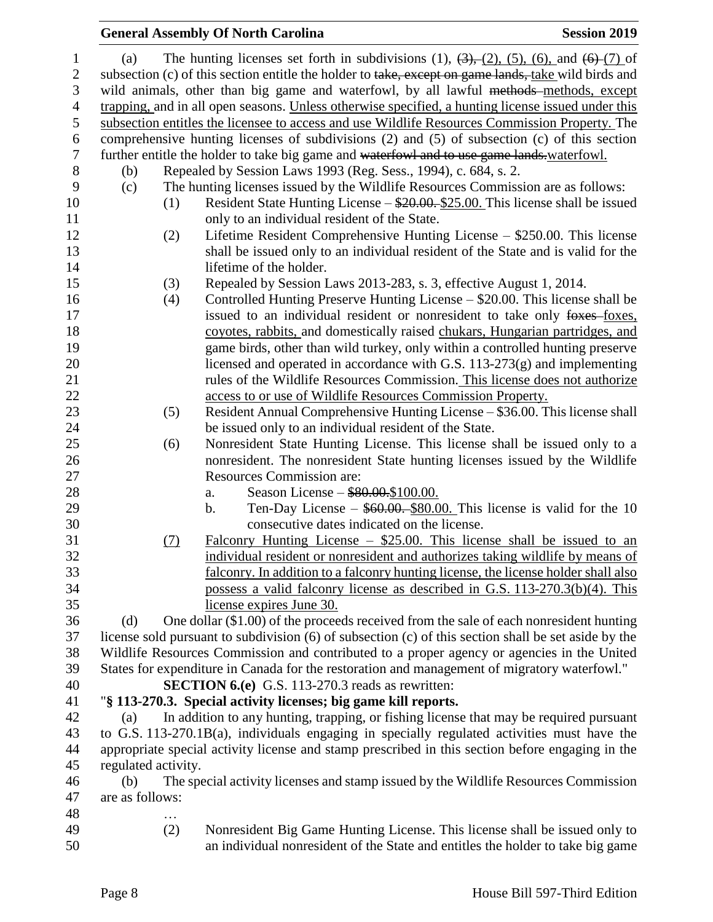|                     |     | <b>General Assembly Of North Carolina</b>                                                                                       | <b>Session 2019</b> |
|---------------------|-----|---------------------------------------------------------------------------------------------------------------------------------|---------------------|
| (a)                 |     | The hunting licenses set forth in subdivisions (1), $(3)$ , $(2)$ , $(5)$ , $(6)$ , and $(6)$ - $(7)$ of                        |                     |
|                     |     | subsection (c) of this section entitle the holder to take, except on game lands, take wild birds and                            |                     |
|                     |     | wild animals, other than big game and waterfowl, by all lawful methods-methods, except                                          |                     |
|                     |     | trapping, and in all open seasons. Unless otherwise specified, a hunting license issued under this                              |                     |
|                     |     | subsection entitles the licensee to access and use Wildlife Resources Commission Property. The                                  |                     |
|                     |     | comprehensive hunting licenses of subdivisions (2) and (5) of subsection (c) of this section                                    |                     |
|                     |     | further entitle the holder to take big game and waterfowl and to use game lands waterfowl.                                      |                     |
| (b)                 |     | Repealed by Session Laws 1993 (Reg. Sess., 1994), c. 684, s. 2.                                                                 |                     |
| (c)                 |     | The hunting licenses issued by the Wildlife Resources Commission are as follows:                                                |                     |
|                     | (1) | Resident State Hunting License – \$20.00. \$25.00. This license shall be issued<br>only to an individual resident of the State. |                     |
|                     | (2) | Lifetime Resident Comprehensive Hunting License – \$250.00. This license                                                        |                     |
|                     |     | shall be issued only to an individual resident of the State and is valid for the                                                |                     |
|                     |     | lifetime of the holder.                                                                                                         |                     |
|                     | (3) | Repealed by Session Laws 2013-283, s. 3, effective August 1, 2014.                                                              |                     |
|                     | (4) | Controlled Hunting Preserve Hunting License – \$20.00. This license shall be                                                    |                     |
|                     |     | issued to an individual resident or nonresident to take only foxes foxes,                                                       |                     |
|                     |     | coyotes, rabbits, and domestically raised chukars, Hungarian partridges, and                                                    |                     |
|                     |     | game birds, other than wild turkey, only within a controlled hunting preserve                                                   |                     |
|                     |     | licensed and operated in accordance with G.S. $113-273(g)$ and implementing                                                     |                     |
|                     |     | rules of the Wildlife Resources Commission. This license does not authorize                                                     |                     |
|                     |     | access to or use of Wildlife Resources Commission Property.                                                                     |                     |
|                     | (5) | Resident Annual Comprehensive Hunting License - \$36.00. This license shall                                                     |                     |
|                     |     | be issued only to an individual resident of the State.                                                                          |                     |
|                     | (6) | Nonresident State Hunting License. This license shall be issued only to a                                                       |                     |
|                     |     | nonresident. The nonresident State hunting licenses issued by the Wildlife                                                      |                     |
|                     |     | <b>Resources Commission are:</b>                                                                                                |                     |
|                     |     | Season License - \$80.00.\$100.00.<br>a.                                                                                        |                     |
|                     |     | Ten-Day License $-$ \$60.00. \$80.00. This license is valid for the 10<br>b.                                                    |                     |
|                     |     | consecutive dates indicated on the license.                                                                                     |                     |
|                     | (7) | Falconry Hunting License $-$ \$25.00. This license shall be issued to an                                                        |                     |
|                     |     | individual resident or nonresident and authorizes taking wildlife by means of                                                   |                     |
|                     |     | falconry. In addition to a falconry hunting license, the license holder shall also                                              |                     |
|                     |     | possess a valid falconry license as described in G.S. 113-270.3(b)(4). This                                                     |                     |
|                     |     | license expires June 30.                                                                                                        |                     |
| (d)                 |     | One dollar (\$1.00) of the proceeds received from the sale of each nonresident hunting                                          |                     |
|                     |     | license sold pursuant to subdivision (6) of subsection (c) of this section shall be set aside by the                            |                     |
|                     |     | Wildlife Resources Commission and contributed to a proper agency or agencies in the United                                      |                     |
|                     |     | States for expenditure in Canada for the restoration and management of migratory waterfowl."                                    |                     |
|                     |     | <b>SECTION 6.(e)</b> G.S. 113-270.3 reads as rewritten:                                                                         |                     |
|                     |     | "§ 113-270.3. Special activity licenses; big game kill reports.                                                                 |                     |
| (a)                 |     | In addition to any hunting, trapping, or fishing license that may be required pursuant                                          |                     |
|                     |     | to G.S. 113-270.1B(a), individuals engaging in specially regulated activities must have the                                     |                     |
|                     |     | appropriate special activity license and stamp prescribed in this section before engaging in the                                |                     |
| regulated activity. |     |                                                                                                                                 |                     |
| (b)                 |     | The special activity licenses and stamp issued by the Wildlife Resources Commission                                             |                     |
| are as follows:     |     |                                                                                                                                 |                     |
|                     |     |                                                                                                                                 |                     |
|                     | (2) | Nonresident Big Game Hunting License. This license shall be issued only to                                                      |                     |
|                     |     | an individual nonresident of the State and entitles the holder to take big game                                                 |                     |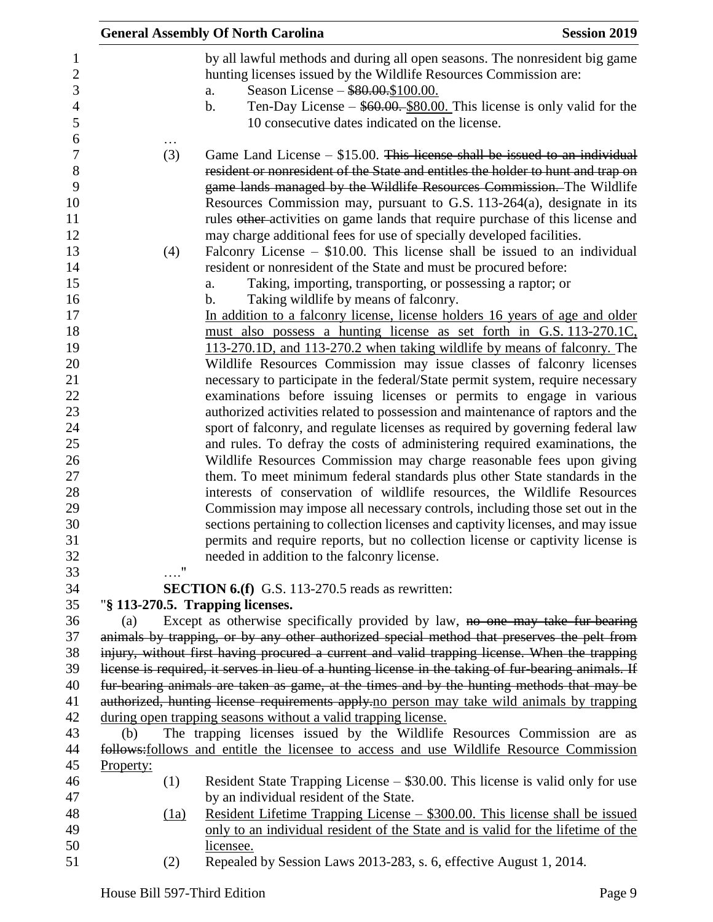|                                                      | <b>General Assembly Of North Carolina</b><br><b>Session 2019</b>                                                                                                                                                                                                                                                                                                                                                                                                                       |
|------------------------------------------------------|----------------------------------------------------------------------------------------------------------------------------------------------------------------------------------------------------------------------------------------------------------------------------------------------------------------------------------------------------------------------------------------------------------------------------------------------------------------------------------------|
| 1<br>$\overline{c}$<br>3<br>$\overline{4}$<br>5<br>6 | by all lawful methods and during all open seasons. The nonresident big game<br>hunting licenses issued by the Wildlife Resources Commission are:<br>Season License - \$80.00.\$100.00.<br>a.<br>Ten-Day License $-$ \$60.00. \$80.00. This license is only valid for the<br>$\mathbf b$ .<br>10 consecutive dates indicated on the license.                                                                                                                                            |
| $\overline{7}$<br>$8\,$<br>9<br>10<br>11<br>12       | Game Land License $-$ \$15.00. This license shall be issued to an individual<br>(3)<br>resident or nonresident of the State and entitles the holder to hunt and trap on<br>game lands managed by the Wildlife Resources Commission. The Wildlife<br>Resources Commission may, pursuant to G.S. 113-264(a), designate in its<br>rules other-activities on game lands that require purchase of this license and<br>may charge additional fees for use of specially developed facilities. |
| 13                                                   | Falconry License $-$ \$10.00. This license shall be issued to an individual<br>(4)                                                                                                                                                                                                                                                                                                                                                                                                     |
| 14                                                   | resident or nonresident of the State and must be procured before:                                                                                                                                                                                                                                                                                                                                                                                                                      |
| 15<br>16                                             | Taking, importing, transporting, or possessing a raptor; or<br>a.<br>Taking wildlife by means of falconry.<br>b.                                                                                                                                                                                                                                                                                                                                                                       |
| 17                                                   | In addition to a falconry license, license holders 16 years of age and older                                                                                                                                                                                                                                                                                                                                                                                                           |
| 18                                                   | must also possess a hunting license as set forth in G.S. 113-270.1C.                                                                                                                                                                                                                                                                                                                                                                                                                   |
| 19                                                   | 113-270.1D, and 113-270.2 when taking wildlife by means of falconry. The                                                                                                                                                                                                                                                                                                                                                                                                               |
| 20                                                   | Wildlife Resources Commission may issue classes of falconry licenses                                                                                                                                                                                                                                                                                                                                                                                                                   |
| 21<br>22                                             | necessary to participate in the federal/State permit system, require necessary<br>examinations before issuing licenses or permits to engage in various                                                                                                                                                                                                                                                                                                                                 |
| 23                                                   | authorized activities related to possession and maintenance of raptors and the                                                                                                                                                                                                                                                                                                                                                                                                         |
| 24                                                   | sport of falconry, and regulate licenses as required by governing federal law                                                                                                                                                                                                                                                                                                                                                                                                          |
| 25                                                   | and rules. To defray the costs of administering required examinations, the                                                                                                                                                                                                                                                                                                                                                                                                             |
| 26                                                   | Wildlife Resources Commission may charge reasonable fees upon giving                                                                                                                                                                                                                                                                                                                                                                                                                   |
| 27                                                   | them. To meet minimum federal standards plus other State standards in the                                                                                                                                                                                                                                                                                                                                                                                                              |
| 28                                                   | interests of conservation of wildlife resources, the Wildlife Resources                                                                                                                                                                                                                                                                                                                                                                                                                |
| 29                                                   | Commission may impose all necessary controls, including those set out in the                                                                                                                                                                                                                                                                                                                                                                                                           |
| 30                                                   | sections pertaining to collection licenses and captivity licenses, and may issue                                                                                                                                                                                                                                                                                                                                                                                                       |
| 31                                                   | permits and require reports, but no collection license or captivity license is                                                                                                                                                                                                                                                                                                                                                                                                         |
| 32                                                   | needed in addition to the falconry license.                                                                                                                                                                                                                                                                                                                                                                                                                                            |
| 33<br>34                                             | $\ldots$ "<br><b>SECTION 6.(f)</b> G.S. 113-270.5 reads as rewritten:                                                                                                                                                                                                                                                                                                                                                                                                                  |
| 35                                                   | "§ 113-270.5. Trapping licenses.                                                                                                                                                                                                                                                                                                                                                                                                                                                       |
| 36                                                   | Except as otherwise specifically provided by law, no one may take fur-bearing<br>(a)                                                                                                                                                                                                                                                                                                                                                                                                   |
| 37                                                   | animals by trapping, or by any other authorized special method that preserves the pelt from                                                                                                                                                                                                                                                                                                                                                                                            |
| 38                                                   | injury, without first having procured a current and valid trapping license. When the trapping                                                                                                                                                                                                                                                                                                                                                                                          |
| 39                                                   | license is required, it serves in lieu of a hunting license in the taking of fur-bearing animals. If                                                                                                                                                                                                                                                                                                                                                                                   |
| 40                                                   | fur-bearing animals are taken as game, at the times and by the hunting methods that may be                                                                                                                                                                                                                                                                                                                                                                                             |
| 41                                                   | authorized, hunting license requirements apply-no person may take wild animals by trapping                                                                                                                                                                                                                                                                                                                                                                                             |
| 42                                                   | during open trapping seasons without a valid trapping license.                                                                                                                                                                                                                                                                                                                                                                                                                         |
| 43                                                   | The trapping licenses issued by the Wildlife Resources Commission are as<br>(b)                                                                                                                                                                                                                                                                                                                                                                                                        |
| 44<br>45                                             | follows: follows and entitle the licensee to access and use Wildlife Resource Commission<br>Property:                                                                                                                                                                                                                                                                                                                                                                                  |
| 46                                                   | Resident State Trapping License – \$30.00. This license is valid only for use<br>(1)                                                                                                                                                                                                                                                                                                                                                                                                   |
| 47                                                   | by an individual resident of the State.                                                                                                                                                                                                                                                                                                                                                                                                                                                |
| 48                                                   | <u> Resident Lifetime Trapping License – \$300.00. This license shall be issued</u><br>(1a)                                                                                                                                                                                                                                                                                                                                                                                            |
| 49                                                   | only to an individual resident of the State and is valid for the lifetime of the                                                                                                                                                                                                                                                                                                                                                                                                       |
| 50                                                   | licensee.                                                                                                                                                                                                                                                                                                                                                                                                                                                                              |
| 51                                                   | Repealed by Session Laws 2013-283, s. 6, effective August 1, 2014.<br>(2)                                                                                                                                                                                                                                                                                                                                                                                                              |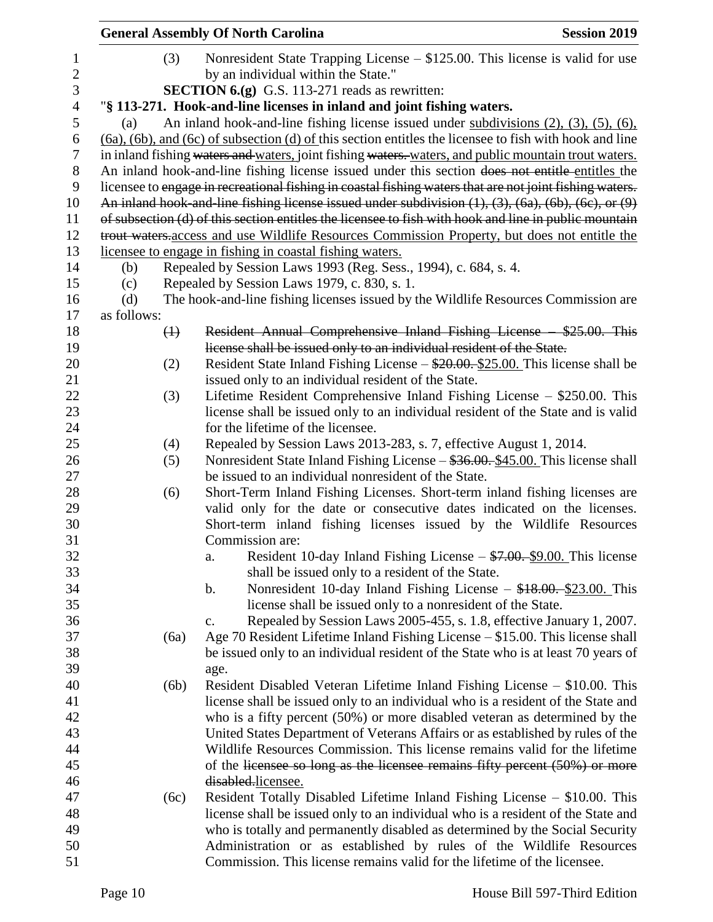|                |             |             | <b>General Assembly Of North Carolina</b>                                                                            | <b>Session 2019</b> |
|----------------|-------------|-------------|----------------------------------------------------------------------------------------------------------------------|---------------------|
| 1              |             | (3)         | Nonresident State Trapping License $- $125.00$ . This license is valid for use                                       |                     |
| $\overline{c}$ |             |             | by an individual within the State."                                                                                  |                     |
| $\mathfrak{Z}$ |             |             | <b>SECTION 6.(g)</b> G.S. 113-271 reads as rewritten:                                                                |                     |
| $\overline{4}$ |             |             | "§ 113-271. Hook-and-line licenses in inland and joint fishing waters.                                               |                     |
| $\mathfrak s$  | (a)         |             | An inland hook-and-line fishing license issued under subdivisions $(2)$ , $(3)$ , $(5)$ , $(6)$ ,                    |                     |
| 6              |             |             | $(6a)$ , $(6b)$ , and $(6c)$ of subsection $(d)$ of this section entitles the licensee to fish with hook and line    |                     |
| $\tau$         |             |             | in inland fishing waters and waters, joint fishing waters. waters, and public mountain trout waters.                 |                     |
| 8              |             |             | An inland hook-and-line fishing license issued under this section does not entitle entitles the                      |                     |
| 9              |             |             | licensee to engage in recreational fishing in coastal fishing waters that are not joint fishing waters.              |                     |
| 10             |             |             | An inland hook-and-line fishing license issued under subdivision $(1)$ , $(3)$ , $(6a)$ , $(6b)$ , $(6c)$ , or $(9)$ |                     |
| 11             |             |             | of subsection (d) of this section entitles the licensee to fish with hook and line in public mountain                |                     |
| 12             |             |             | trout waters access and use Wildlife Resources Commission Property, but does not entitle the                         |                     |
| 13             |             |             | licensee to engage in fishing in coastal fishing waters.                                                             |                     |
| 14             | (b)         |             | Repealed by Session Laws 1993 (Reg. Sess., 1994), c. 684, s. 4.                                                      |                     |
| 15             | (c)         |             | Repealed by Session Laws 1979, c. 830, s. 1.                                                                         |                     |
| 16             | (d)         |             | The hook-and-line fishing licenses issued by the Wildlife Resources Commission are                                   |                     |
| 17             | as follows: |             |                                                                                                                      |                     |
| 18             |             | $\bigoplus$ | Resident Annual Comprehensive Inland Fishing License \$25.00. This                                                   |                     |
| 19             |             |             | license shall be issued only to an individual resident of the State.                                                 |                     |
| 20             |             | (2)         | Resident State Inland Fishing License $-\frac{$20.00}{25.00}$ . This license shall be                                |                     |
| 21             |             |             | issued only to an individual resident of the State.                                                                  |                     |
| 22             |             | (3)         | Lifetime Resident Comprehensive Inland Fishing License - \$250.00. This                                              |                     |
| 23             |             |             | license shall be issued only to an individual resident of the State and is valid                                     |                     |
| 24             |             |             | for the lifetime of the licensee.                                                                                    |                     |
| 25             |             | (4)         | Repealed by Session Laws 2013-283, s. 7, effective August 1, 2014.                                                   |                     |
| 26             |             | (5)         | Nonresident State Inland Fishing License – \$36.00. \$45.00. This license shall                                      |                     |
| 27             |             |             | be issued to an individual nonresident of the State.                                                                 |                     |
| 28             |             | (6)         | Short-Term Inland Fishing Licenses. Short-term inland fishing licenses are                                           |                     |
| 29             |             |             | valid only for the date or consecutive dates indicated on the licenses.                                              |                     |
| 30             |             |             | Short-term inland fishing licenses issued by the Wildlife Resources                                                  |                     |
| 31             |             |             | Commission are:                                                                                                      |                     |
| 32             |             |             | Resident 10-day Inland Fishing License - \$7.00. \$9.00. This license<br>a.                                          |                     |
| 33             |             |             | shall be issued only to a resident of the State.                                                                     |                     |
| 34             |             |             | Nonresident 10-day Inland Fishing License - \$18.00. \$23.00. This<br>b.                                             |                     |
| 35             |             |             | license shall be issued only to a nonresident of the State.                                                          |                     |
| 36             |             |             | Repealed by Session Laws 2005-455, s. 1.8, effective January 1, 2007.<br>c.                                          |                     |
| 37             |             | (6a)        | Age 70 Resident Lifetime Inland Fishing License $- $15.00$ . This license shall                                      |                     |
| 38             |             |             | be issued only to an individual resident of the State who is at least 70 years of                                    |                     |
| 39<br>40       |             | (6b)        | age.<br>Resident Disabled Veteran Lifetime Inland Fishing License - \$10.00. This                                    |                     |
| 41             |             |             | license shall be issued only to an individual who is a resident of the State and                                     |                     |
| 42             |             |             | who is a fifty percent (50%) or more disabled veteran as determined by the                                           |                     |
| 43             |             |             | United States Department of Veterans Affairs or as established by rules of the                                       |                     |
| 44             |             |             | Wildlife Resources Commission. This license remains valid for the lifetime                                           |                     |
| 45             |             |             | of the licensee so long as the licensee remains fifty percent (50%) or more                                          |                     |
| 46             |             |             | disabled.licensee.                                                                                                   |                     |
| 47             |             | (6c)        | Resident Totally Disabled Lifetime Inland Fishing License – \$10.00. This                                            |                     |
| 48             |             |             | license shall be issued only to an individual who is a resident of the State and                                     |                     |
| 49             |             |             | who is totally and permanently disabled as determined by the Social Security                                         |                     |
| 50             |             |             | Administration or as established by rules of the Wildlife Resources                                                  |                     |
| 51             |             |             | Commission. This license remains valid for the lifetime of the licensee.                                             |                     |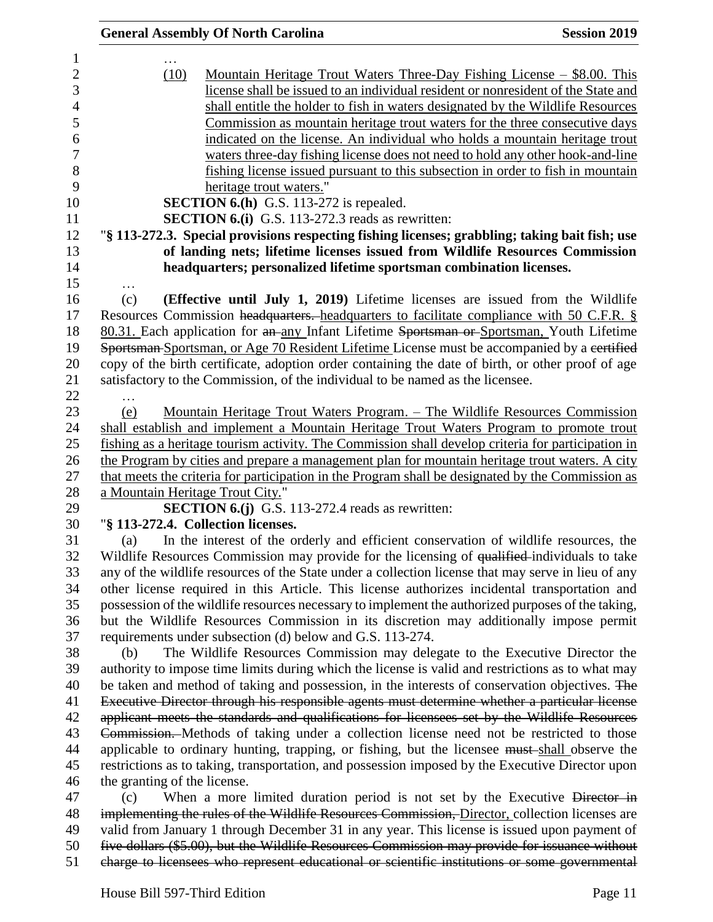|                                  | <b>General Assembly Of North Carolina</b>                                                           | <b>Session 2019</b> |
|----------------------------------|-----------------------------------------------------------------------------------------------------|---------------------|
|                                  |                                                                                                     |                     |
| (10)                             | <u> Mountain Heritage Trout Waters Three-Day Fishing License – \$8.00. This</u>                     |                     |
|                                  | license shall be issued to an individual resident or nonresident of the State and                   |                     |
|                                  | shall entitle the holder to fish in waters designated by the Wildlife Resources                     |                     |
|                                  | Commission as mountain heritage trout waters for the three consecutive days                         |                     |
|                                  | indicated on the license. An individual who holds a mountain heritage trout                         |                     |
|                                  | waters three-day fishing license does not need to hold any other hook-and-line                      |                     |
|                                  | fishing license issued pursuant to this subsection in order to fish in mountain                     |                     |
|                                  | heritage trout waters."                                                                             |                     |
|                                  | SECTION 6.(h) G.S. 113-272 is repealed.                                                             |                     |
|                                  | <b>SECTION 6.(i)</b> G.S. 113-272.3 reads as rewritten:                                             |                     |
|                                  | "§ 113-272.3. Special provisions respecting fishing licenses; grabbling; taking bait fish; use      |                     |
|                                  | of landing nets; lifetime licenses issued from Wildlife Resources Commission                        |                     |
|                                  | headquarters; personalized lifetime sportsman combination licenses.                                 |                     |
| (c)                              | (Effective until July 1, 2019) Lifetime licenses are issued from the Wildlife                       |                     |
|                                  | Resources Commission headquarters. headquarters to facilitate compliance with 50 C.F.R. §           |                     |
|                                  | 80.31. Each application for an any Infant Lifetime Sportsman or Sportsman, Youth Lifetime           |                     |
|                                  | Sportsman-Sportsman, or Age 70 Resident Lifetime License must be accompanied by a certified         |                     |
|                                  | copy of the birth certificate, adoption order containing the date of birth, or other proof of age   |                     |
|                                  |                                                                                                     |                     |
|                                  | satisfactory to the Commission, of the individual to be named as the licensee.                      |                     |
|                                  |                                                                                                     |                     |
| (e)                              | Mountain Heritage Trout Waters Program. – The Wildlife Resources Commission                         |                     |
|                                  | shall establish and implement a Mountain Heritage Trout Waters Program to promote trout             |                     |
|                                  | fishing as a heritage tourism activity. The Commission shall develop criteria for participation in  |                     |
|                                  | the Program by cities and prepare a management plan for mountain heritage trout waters. A city      |                     |
|                                  | that meets the criteria for participation in the Program shall be designated by the Commission as   |                     |
| a Mountain Heritage Trout City." |                                                                                                     |                     |
|                                  | <b>SECTION 6.(j)</b> G.S. 113-272.4 reads as rewritten:                                             |                     |
|                                  | "§ 113-272.4. Collection licenses.                                                                  |                     |
| (a)                              | In the interest of the orderly and efficient conservation of wildlife resources, the                |                     |
|                                  | Wildlife Resources Commission may provide for the licensing of qualified individuals to take        |                     |
|                                  | any of the wildlife resources of the State under a collection license that may serve in lieu of any |                     |
|                                  | other license required in this Article. This license authorizes incidental transportation and       |                     |
|                                  | possession of the wildlife resources necessary to implement the authorized purposes of the taking,  |                     |
|                                  | but the Wildlife Resources Commission in its discretion may additionally impose permit              |                     |
|                                  | requirements under subsection (d) below and G.S. 113-274.                                           |                     |
| (b)                              | The Wildlife Resources Commission may delegate to the Executive Director the                        |                     |
|                                  | authority to impose time limits during which the license is valid and restrictions as to what may   |                     |
|                                  | be taken and method of taking and possession, in the interests of conservation objectives. The      |                     |
|                                  | Executive Director through his responsible agents must determine whether a particular license       |                     |
|                                  | applicant meets the standards and qualifications for licensees set by the Wildlife Resources        |                     |
|                                  | Commission. Methods of taking under a collection license need not be restricted to those            |                     |
|                                  | applicable to ordinary hunting, trapping, or fishing, but the licensee must-shall observe the       |                     |
|                                  | restrictions as to taking, transportation, and possession imposed by the Executive Director upon    |                     |
| the granting of the license.     |                                                                                                     |                     |
| (c)                              | When a more limited duration period is not set by the Executive Director in                         |                     |
|                                  | implementing the rules of the Wildlife Resources Commission, Director, collection licenses are      |                     |
|                                  | valid from January 1 through December 31 in any year. This license is issued upon payment of        |                     |
|                                  | five dollars (\$5.00), but the Wildlife Resources Commission may provide for issuance without       |                     |
|                                  | charge to licensees who represent educational or scientific institutions or some governmental       |                     |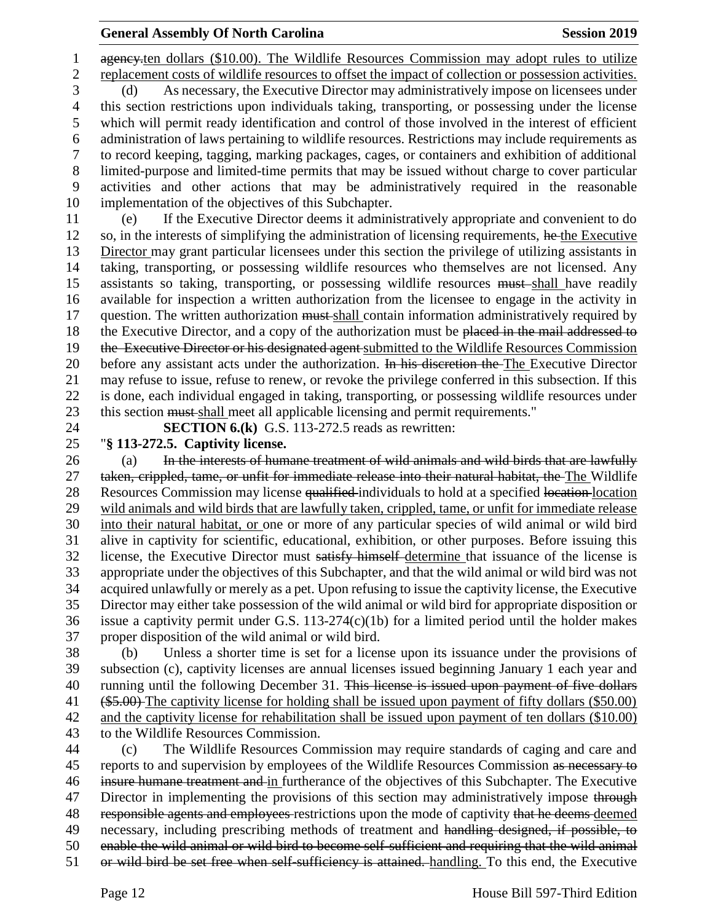1 ageney<sub>ten dollars</sub> (\$10.00). The Wildlife Resources Commission may adopt rules to utilize replacement costs of wildlife resources to offset the impact of collection or possession activities. (d) As necessary, the Executive Director may administratively impose on licensees under this section restrictions upon individuals taking, transporting, or possessing under the license which will permit ready identification and control of those involved in the interest of efficient administration of laws pertaining to wildlife resources. Restrictions may include requirements as to record keeping, tagging, marking packages, cages, or containers and exhibition of additional limited-purpose and limited-time permits that may be issued without charge to cover particular activities and other actions that may be administratively required in the reasonable implementation of the objectives of this Subchapter. (e) If the Executive Director deems it administratively appropriate and convenient to do

12 so, in the interests of simplifying the administration of licensing requirements, he the Executive Director may grant particular licensees under this section the privilege of utilizing assistants in taking, transporting, or possessing wildlife resources who themselves are not licensed. Any 15 assistants so taking, transporting, or possessing wildlife resources must shall have readily available for inspection a written authorization from the licensee to engage in the activity in 17 question. The written authorization must-shall contain information administratively required by 18 the Executive Director, and a copy of the authorization must be placed in the mail addressed to 19 the Executive Director or his designated agent submitted to the Wildlife Resources Commission 20 before any assistant acts under the authorization. In his discretion the The Executive Director may refuse to issue, refuse to renew, or revoke the privilege conferred in this subsection. If this is done, each individual engaged in taking, transporting, or possessing wildlife resources under this section must shall meet all applicable licensing and permit requirements."

**SECTION 6.(k)** G.S. 113-272.5 reads as rewritten:

"**§ 113-272.5. Captivity license.**

26 (a) In the interests of humane treatment of wild animals and wild birds that are lawfully taken, crippled, tame, or unfit for immediate release into their natural habitat, the The Wildlife 28 Resources Commission may license qualified individuals to hold at a specified location location wild animals and wild birds that are lawfully taken, crippled, tame, or unfit for immediate release into their natural habitat, or one or more of any particular species of wild animal or wild bird alive in captivity for scientific, educational, exhibition, or other purposes. Before issuing this license, the Executive Director must satisfy himself determine that issuance of the license is appropriate under the objectives of this Subchapter, and that the wild animal or wild bird was not acquired unlawfully or merely as a pet. Upon refusing to issue the captivity license, the Executive Director may either take possession of the wild animal or wild bird for appropriate disposition or issue a captivity permit under G.S. 113-274(c)(1b) for a limited period until the holder makes proper disposition of the wild animal or wild bird.

 (b) Unless a shorter time is set for a license upon its issuance under the provisions of subsection (c), captivity licenses are annual licenses issued beginning January 1 each year and 40 running until the following December 31. This license is issued upon payment of five dollars 41 (\$5.00) The captivity license for holding shall be issued upon payment of fifty dollars (\$50.00) and the captivity license for rehabilitation shall be issued upon payment of ten dollars (\$10.00) to the Wildlife Resources Commission.

 (c) The Wildlife Resources Commission may require standards of caging and care and 45 reports to and supervision by employees of the Wildlife Resources Commission as necessary to insure humane treatment and in furtherance of the objectives of this Subchapter. The Executive 47 Director in implementing the provisions of this section may administratively impose through 48 responsible agents and employees restrictions upon the mode of captivity that he deems deemed necessary, including prescribing methods of treatment and handling designed, if possible, to enable the wild animal or wild bird to become self-sufficient and requiring that the wild animal or wild bird be set free when self-sufficiency is attained. handling. To this end, the Executive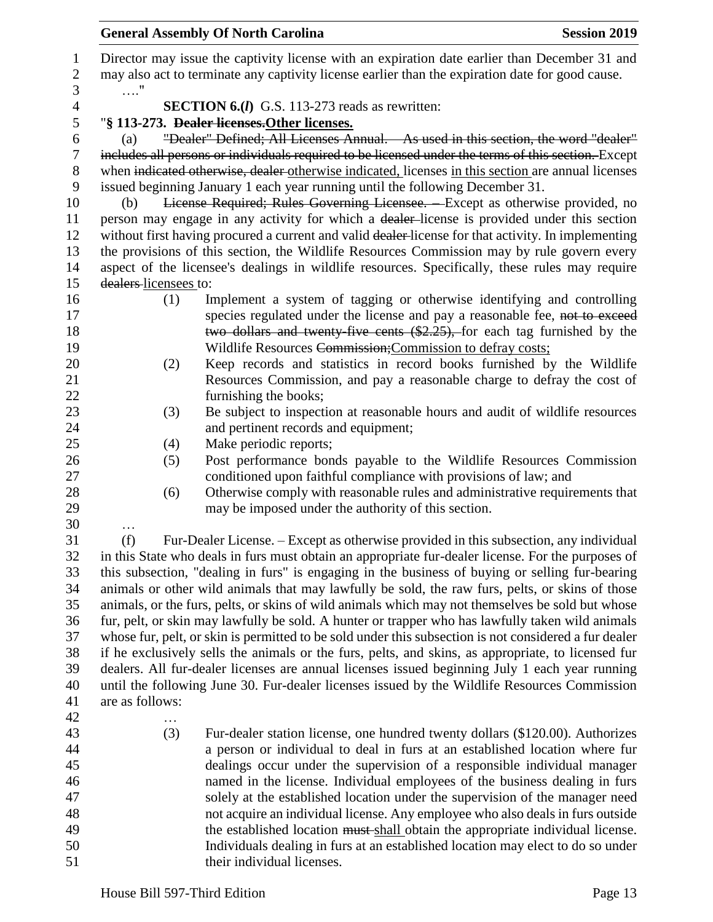| 1<br>$\overline{2}$ | Director may issue the captivity license with an expiration date earlier than December 31 and<br>may also act to terminate any captivity license earlier than the expiration date for good cause. |
|---------------------|---------------------------------------------------------------------------------------------------------------------------------------------------------------------------------------------------|
| 3                   | . "                                                                                                                                                                                               |
| $\overline{4}$      | <b>SECTION 6.(I)</b> G.S. 113-273 reads as rewritten:                                                                                                                                             |
| 5                   | "§ 113-273. Dealer licenses. Other licenses.                                                                                                                                                      |
|                     | "Dealer" Defined; All Licenses Annual. As used in this section, the word "dealer"                                                                                                                 |
| 6                   | (a)                                                                                                                                                                                               |
| $\tau$              | includes all persons or individuals required to be licensed under the terms of this section. Except                                                                                               |
| $8\phantom{1}$      | when indicated otherwise, dealer otherwise indicated, licenses in this section are annual licenses                                                                                                |
| 9                   | issued beginning January 1 each year running until the following December 31.                                                                                                                     |
| 10                  | License Required; Rules Governing Licensee. - Except as otherwise provided, no<br>(b)                                                                                                             |
| 11                  | person may engage in any activity for which a dealer-license is provided under this section                                                                                                       |
| 12                  | without first having procured a current and valid dealer-license for that activity. In implementing                                                                                               |
| 13                  | the provisions of this section, the Wildlife Resources Commission may by rule govern every                                                                                                        |
| 14                  | aspect of the licensee's dealings in wildlife resources. Specifically, these rules may require                                                                                                    |
| 15                  | dealers-licensees to:                                                                                                                                                                             |
| 16                  | Implement a system of tagging or otherwise identifying and controlling<br>(1)                                                                                                                     |
| 17                  | species regulated under the license and pay a reasonable fee, not to exceed                                                                                                                       |
| 18                  | two dollars and twenty five cents (\$2.25), for each tag furnished by the                                                                                                                         |
| 19                  | Wildlife Resources Commission; Commission to defray costs;                                                                                                                                        |
| 20                  | Keep records and statistics in record books furnished by the Wildlife<br>(2)                                                                                                                      |
| 21                  | Resources Commission, and pay a reasonable charge to defray the cost of                                                                                                                           |
| 22                  | furnishing the books;                                                                                                                                                                             |
| 23                  | Be subject to inspection at reasonable hours and audit of wildlife resources<br>(3)                                                                                                               |
| 24                  | and pertinent records and equipment;                                                                                                                                                              |
| 25                  | Make periodic reports;<br>(4)                                                                                                                                                                     |
| 26                  | Post performance bonds payable to the Wildlife Resources Commission<br>(5)                                                                                                                        |
| 27                  | conditioned upon faithful compliance with provisions of law; and                                                                                                                                  |
| 28                  |                                                                                                                                                                                                   |
|                     | Otherwise comply with reasonable rules and administrative requirements that<br>(6)                                                                                                                |
| 29                  | may be imposed under the authority of this section.                                                                                                                                               |
| 30                  |                                                                                                                                                                                                   |
| 31                  | (f)<br>Fur-Dealer License. – Except as otherwise provided in this subsection, any individual                                                                                                      |
| 32                  | in this State who deals in furs must obtain an appropriate fur-dealer license. For the purposes of                                                                                                |
| 33                  | this subsection, "dealing in furs" is engaging in the business of buying or selling fur-bearing                                                                                                   |
| 34                  | animals or other wild animals that may lawfully be sold, the raw furs, pelts, or skins of those                                                                                                   |
| 35                  | animals, or the furs, pelts, or skins of wild animals which may not themselves be sold but whose                                                                                                  |
| 36                  | fur, pelt, or skin may lawfully be sold. A hunter or trapper who has lawfully taken wild animals                                                                                                  |
| 37                  | whose fur, pelt, or skin is permitted to be sold under this subsection is not considered a fur dealer                                                                                             |
| 38                  | if he exclusively sells the animals or the furs, pelts, and skins, as appropriate, to licensed fur                                                                                                |
| 39                  | dealers. All fur-dealer licenses are annual licenses issued beginning July 1 each year running                                                                                                    |
| 40                  | until the following June 30. Fur-dealer licenses issued by the Wildlife Resources Commission                                                                                                      |
| 41                  | are as follows:                                                                                                                                                                                   |
| 42                  | .                                                                                                                                                                                                 |
| 43                  | (3)<br>Fur-dealer station license, one hundred twenty dollars (\$120.00). Authorizes                                                                                                              |
| 44                  | a person or individual to deal in furs at an established location where fur                                                                                                                       |
| 45                  | dealings occur under the supervision of a responsible individual manager                                                                                                                          |
| 46                  | named in the license. Individual employees of the business dealing in furs                                                                                                                        |
| 47                  | solely at the established location under the supervision of the manager need                                                                                                                      |
| 48                  | not acquire an individual license. Any employee who also deals in furs outside                                                                                                                    |
| 49                  | the established location must shall obtain the appropriate individual license.                                                                                                                    |
| 50                  | Individuals dealing in furs at an established location may elect to do so under                                                                                                                   |
| 51                  | their individual licenses.                                                                                                                                                                        |
|                     |                                                                                                                                                                                                   |
|                     | House Bill 597-Third Edition<br>Page 13                                                                                                                                                           |
|                     |                                                                                                                                                                                                   |

**General Assembly Of North Carolina Session 2019**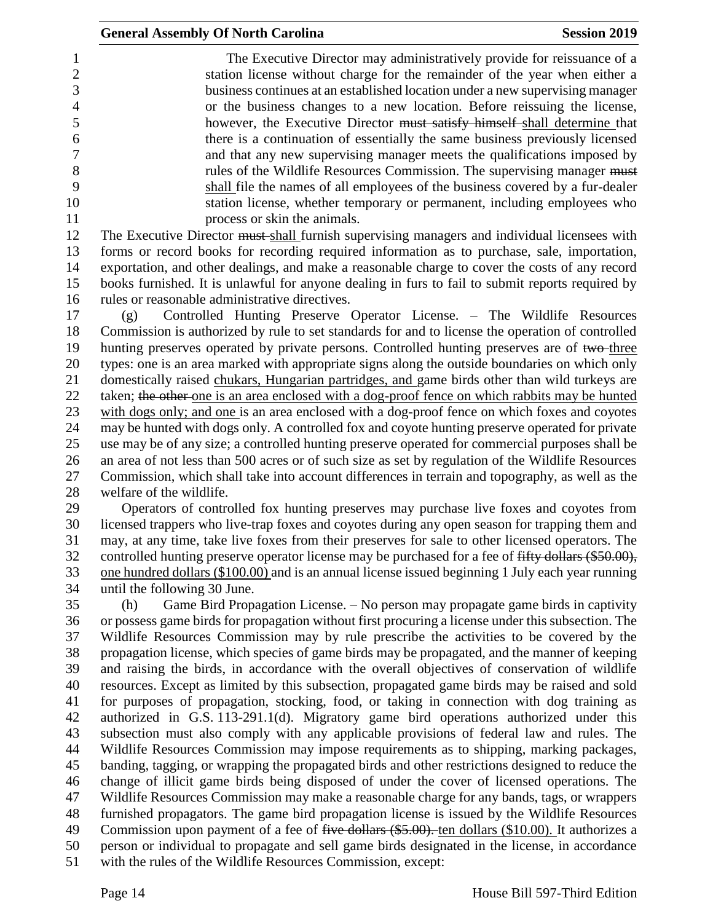The Executive Director may administratively provide for reissuance of a station license without charge for the remainder of the year when either a business continues at an established location under a new supervising manager or the business changes to a new location. Before reissuing the license, however, the Executive Director must satisfy himself shall determine that there is a continuation of essentially the same business previously licensed and that any new supervising manager meets the qualifications imposed by 8 rules of the Wildlife Resources Commission. The supervising manager must shall file the names of all employees of the business covered by a fur-dealer station license, whether temporary or permanent, including employees who 11 process or skin the animals.

12 The Executive Director must-shall furnish supervising managers and individual licensees with forms or record books for recording required information as to purchase, sale, importation, exportation, and other dealings, and make a reasonable charge to cover the costs of any record books furnished. It is unlawful for anyone dealing in furs to fail to submit reports required by rules or reasonable administrative directives.

 (g) Controlled Hunting Preserve Operator License. – The Wildlife Resources Commission is authorized by rule to set standards for and to license the operation of controlled 19 hunting preserves operated by private persons. Controlled hunting preserves are of two-three types: one is an area marked with appropriate signs along the outside boundaries on which only domestically raised chukars, Hungarian partridges, and game birds other than wild turkeys are 22 taken; the other one is an area enclosed with a dog-proof fence on which rabbits may be hunted with dogs only; and one is an area enclosed with a dog-proof fence on which foxes and coyotes may be hunted with dogs only. A controlled fox and coyote hunting preserve operated for private use may be of any size; a controlled hunting preserve operated for commercial purposes shall be an area of not less than 500 acres or of such size as set by regulation of the Wildlife Resources Commission, which shall take into account differences in terrain and topography, as well as the welfare of the wildlife.

 Operators of controlled fox hunting preserves may purchase live foxes and coyotes from licensed trappers who live-trap foxes and coyotes during any open season for trapping them and may, at any time, take live foxes from their preserves for sale to other licensed operators. The 32 controlled hunting preserve operator license may be purchased for a fee of fifty dollars (\$50.00), one hundred dollars (\$100.00) and is an annual license issued beginning 1 July each year running until the following 30 June.

 (h) Game Bird Propagation License. – No person may propagate game birds in captivity or possess game birds for propagation without first procuring a license under this subsection. The Wildlife Resources Commission may by rule prescribe the activities to be covered by the propagation license, which species of game birds may be propagated, and the manner of keeping and raising the birds, in accordance with the overall objectives of conservation of wildlife resources. Except as limited by this subsection, propagated game birds may be raised and sold for purposes of propagation, stocking, food, or taking in connection with dog training as authorized in G.S. 113-291.1(d). Migratory game bird operations authorized under this subsection must also comply with any applicable provisions of federal law and rules. The Wildlife Resources Commission may impose requirements as to shipping, marking packages, banding, tagging, or wrapping the propagated birds and other restrictions designed to reduce the change of illicit game birds being disposed of under the cover of licensed operations. The Wildlife Resources Commission may make a reasonable charge for any bands, tags, or wrappers furnished propagators. The game bird propagation license is issued by the Wildlife Resources 49 Commission upon payment of a fee of <del>five dollars (\$5.00).</del> ten dollars (\$10.00). It authorizes a person or individual to propagate and sell game birds designated in the license, in accordance with the rules of the Wildlife Resources Commission, except: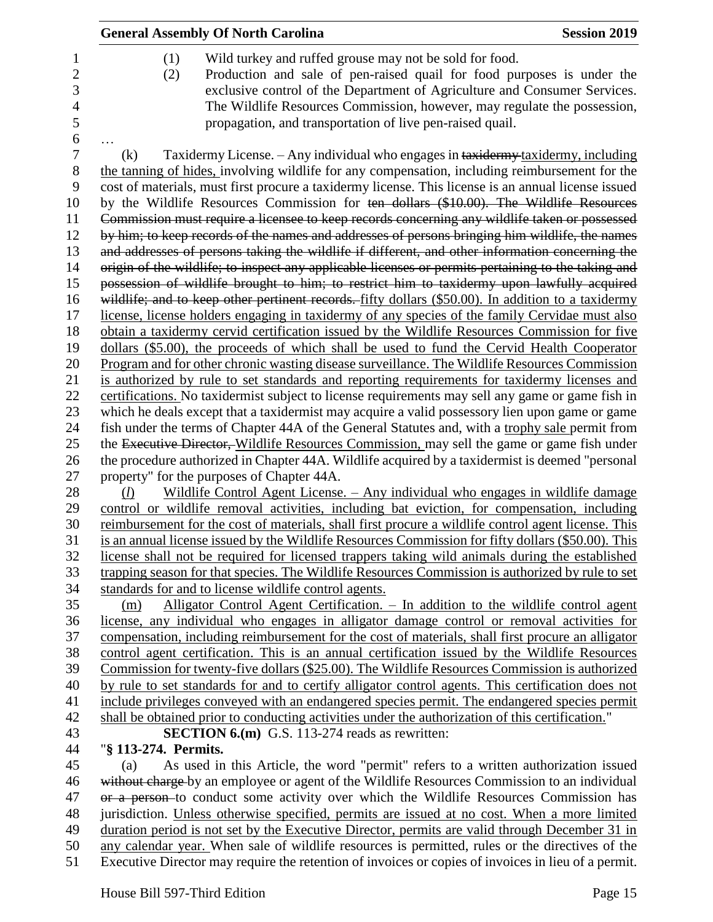| <b>General Assembly Of North Carolina</b>                                                                                                                                                                                                                                                                                                                                                                                                                                                          | <b>Session 2019</b> |
|----------------------------------------------------------------------------------------------------------------------------------------------------------------------------------------------------------------------------------------------------------------------------------------------------------------------------------------------------------------------------------------------------------------------------------------------------------------------------------------------------|---------------------|
| Wild turkey and ruffed grouse may not be sold for food.<br>(1)<br>Production and sale of pen-raised quail for food purposes is under the<br>(2)<br>exclusive control of the Department of Agriculture and Consumer Services.<br>The Wildlife Resources Commission, however, may regulate the possession,<br>propagation, and transportation of live pen-raised quail.                                                                                                                              |                     |
| Taxidermy License. - Any individual who engages in taxidermy taxidermy, including<br>(k)                                                                                                                                                                                                                                                                                                                                                                                                           |                     |
| the tanning of hides, involving wildlife for any compensation, including reimbursement for the<br>cost of materials, must first procure a taxidermy license. This license is an annual license issued<br>by the Wildlife Resources Commission for ten dollars (\$10.00). The Wildlife Resources<br>Commission must require a licensee to keep records concerning any wildlife taken or possessed<br>by him; to keep records of the names and addresses of persons bringing him wildlife, the names |                     |
| and addresses of persons taking the wildlife if different, and other information concerning the                                                                                                                                                                                                                                                                                                                                                                                                    |                     |
| origin of the wildlife; to inspect any applicable licenses or permits pertaining to the taking and                                                                                                                                                                                                                                                                                                                                                                                                 |                     |
| possession of wildlife brought to him; to restrict him to taxidermy upon lawfully acquired                                                                                                                                                                                                                                                                                                                                                                                                         |                     |
| wildlife; and to keep other pertinent records. fifty dollars (\$50.00). In addition to a taxidermy                                                                                                                                                                                                                                                                                                                                                                                                 |                     |
| license, license holders engaging in taxidermy of any species of the family Cervidae must also                                                                                                                                                                                                                                                                                                                                                                                                     |                     |
| obtain a taxidermy cervid certification issued by the Wildlife Resources Commission for five                                                                                                                                                                                                                                                                                                                                                                                                       |                     |
| dollars (\$5.00), the proceeds of which shall be used to fund the Cervid Health Cooperator                                                                                                                                                                                                                                                                                                                                                                                                         |                     |
| Program and for other chronic wasting disease surveillance. The Wildlife Resources Commission                                                                                                                                                                                                                                                                                                                                                                                                      |                     |
| is authorized by rule to set standards and reporting requirements for taxidermy licenses and                                                                                                                                                                                                                                                                                                                                                                                                       |                     |
| certifications. No taxidermist subject to license requirements may sell any game or game fish in                                                                                                                                                                                                                                                                                                                                                                                                   |                     |
| which he deals except that a taxidermist may acquire a valid possessory lien upon game or game                                                                                                                                                                                                                                                                                                                                                                                                     |                     |
| fish under the terms of Chapter 44A of the General Statutes and, with a trophy sale permit from                                                                                                                                                                                                                                                                                                                                                                                                    |                     |
| the Executive Director, Wildlife Resources Commission, may sell the game or game fish under<br>the procedure authorized in Chapter 44A. Wildlife acquired by a taxidermist is deemed "personal                                                                                                                                                                                                                                                                                                     |                     |
| property" for the purposes of Chapter 44A.                                                                                                                                                                                                                                                                                                                                                                                                                                                         |                     |
| Wildlife Control Agent License. - Any individual who engages in wildlife damage<br>(l)                                                                                                                                                                                                                                                                                                                                                                                                             |                     |
| control or wildlife removal activities, including bat eviction, for compensation, including                                                                                                                                                                                                                                                                                                                                                                                                        |                     |
| reimbursement for the cost of materials, shall first procure a wildlife control agent license. This                                                                                                                                                                                                                                                                                                                                                                                                |                     |
| is an annual license issued by the Wildlife Resources Commission for fifty dollars (\$50.00). This                                                                                                                                                                                                                                                                                                                                                                                                 |                     |
| license shall not be required for licensed trappers taking wild animals during the established                                                                                                                                                                                                                                                                                                                                                                                                     |                     |
| trapping season for that species. The Wildlife Resources Commission is authorized by rule to set                                                                                                                                                                                                                                                                                                                                                                                                   |                     |
| standards for and to license wildlife control agents.                                                                                                                                                                                                                                                                                                                                                                                                                                              |                     |
| Alligator Control Agent Certification. - In addition to the wildlife control agent<br>(m)                                                                                                                                                                                                                                                                                                                                                                                                          |                     |
| license, any individual who engages in alligator damage control or removal activities for                                                                                                                                                                                                                                                                                                                                                                                                          |                     |
| compensation, including reimbursement for the cost of materials, shall first procure an alligator                                                                                                                                                                                                                                                                                                                                                                                                  |                     |
| control agent certification. This is an annual certification issued by the Wildlife Resources                                                                                                                                                                                                                                                                                                                                                                                                      |                     |
| Commission for twenty-five dollars (\$25.00). The Wildlife Resources Commission is authorized                                                                                                                                                                                                                                                                                                                                                                                                      |                     |
| by rule to set standards for and to certify alligator control agents. This certification does not                                                                                                                                                                                                                                                                                                                                                                                                  |                     |
| include privileges conveyed with an endangered species permit. The endangered species permit                                                                                                                                                                                                                                                                                                                                                                                                       |                     |
| shall be obtained prior to conducting activities under the authorization of this certification."                                                                                                                                                                                                                                                                                                                                                                                                   |                     |
| <b>SECTION 6.(m)</b> G.S. 113-274 reads as rewritten:                                                                                                                                                                                                                                                                                                                                                                                                                                              |                     |
| "§ 113-274. Permits.                                                                                                                                                                                                                                                                                                                                                                                                                                                                               |                     |
| As used in this Article, the word "permit" refers to a written authorization issued<br>(a)<br>without charge by an employee or agent of the Wildlife Resources Commission to an individual                                                                                                                                                                                                                                                                                                         |                     |
|                                                                                                                                                                                                                                                                                                                                                                                                                                                                                                    |                     |
|                                                                                                                                                                                                                                                                                                                                                                                                                                                                                                    |                     |
| or a person-to conduct some activity over which the Wildlife Resources Commission has                                                                                                                                                                                                                                                                                                                                                                                                              |                     |
| jurisdiction. Unless otherwise specified, permits are issued at no cost. When a more limited<br>duration period is not set by the Executive Director, permits are valid through December 31 in                                                                                                                                                                                                                                                                                                     |                     |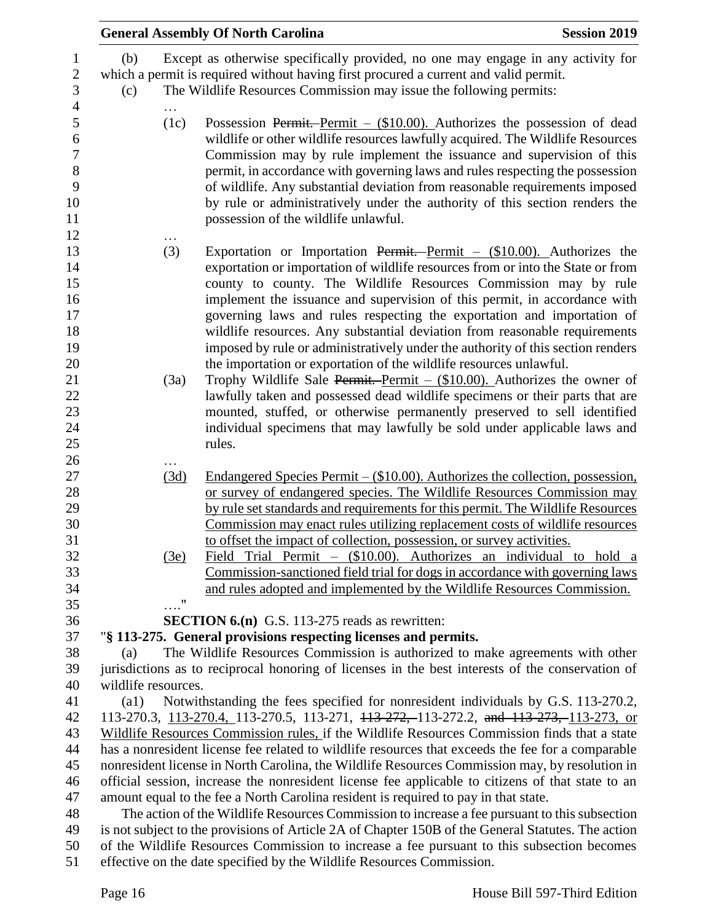|                                                                      |                     |                    | <b>General Assembly Of North Carolina</b><br><b>Session 2019</b>                                                                                                                                                                                                                                                                                                                                                                                                                                                                                                                                                                                                                                          |  |
|----------------------------------------------------------------------|---------------------|--------------------|-----------------------------------------------------------------------------------------------------------------------------------------------------------------------------------------------------------------------------------------------------------------------------------------------------------------------------------------------------------------------------------------------------------------------------------------------------------------------------------------------------------------------------------------------------------------------------------------------------------------------------------------------------------------------------------------------------------|--|
| 1<br>$\sqrt{2}$<br>3                                                 | (b)<br>(c)          |                    | Except as otherwise specifically provided, no one may engage in any activity for<br>which a permit is required without having first procured a current and valid permit.<br>The Wildlife Resources Commission may issue the following permits:                                                                                                                                                                                                                                                                                                                                                                                                                                                            |  |
| $\overline{4}$<br>5<br>6<br>$\overline{7}$<br>$8\,$<br>9<br>10<br>11 |                     | (1c)               | Possession Permit. Permit $-$ (\$10.00). Authorizes the possession of dead<br>wildlife or other wildlife resources lawfully acquired. The Wildlife Resources<br>Commission may by rule implement the issuance and supervision of this<br>permit, in accordance with governing laws and rules respecting the possession<br>of wildlife. Any substantial deviation from reasonable requirements imposed<br>by rule or administratively under the authority of this section renders the<br>possession of the wildlife unlawful.                                                                                                                                                                              |  |
| 12<br>13<br>14<br>15<br>16<br>17<br>18<br>19<br>20<br>21             |                     | (3)<br>(3a)        | Exportation or Importation Permit. Permit $-$ (\$10.00). Authorizes the<br>exportation or importation of wildlife resources from or into the State or from<br>county to county. The Wildlife Resources Commission may by rule<br>implement the issuance and supervision of this permit, in accordance with<br>governing laws and rules respecting the exportation and importation of<br>wildlife resources. Any substantial deviation from reasonable requirements<br>imposed by rule or administratively under the authority of this section renders<br>the importation or exportation of the wildlife resources unlawful.<br>Trophy Wildlife Sale Permit. Permit $-$ (\$10.00). Authorizes the owner of |  |
| 22<br>23<br>24<br>25<br>26                                           |                     |                    | lawfully taken and possessed dead wildlife specimens or their parts that are<br>mounted, stuffed, or otherwise permanently preserved to sell identified<br>individual specimens that may lawfully be sold under applicable laws and<br>rules.                                                                                                                                                                                                                                                                                                                                                                                                                                                             |  |
| 27<br>28<br>29<br>30<br>31                                           |                     | (3d)               | Endangered Species Permit $-$ (\$10.00). Authorizes the collection, possession,<br>or survey of endangered species. The Wildlife Resources Commission may<br>by rule set standards and requirements for this permit. The Wildlife Resources<br>Commission may enact rules utilizing replacement costs of wildlife resources<br>to offset the impact of collection, possession, or survey activities.                                                                                                                                                                                                                                                                                                      |  |
| 32<br>33<br>34<br>35                                                 |                     | (3e)<br>$\ldots$ " | Field Trial Permit - (\$10.00). Authorizes an individual to hold a<br>Commission-sanctioned field trial for dogs in accordance with governing laws<br>and rules adopted and implemented by the Wildlife Resources Commission.                                                                                                                                                                                                                                                                                                                                                                                                                                                                             |  |
| 36                                                                   |                     |                    | <b>SECTION 6.(n)</b> G.S. 113-275 reads as rewritten:                                                                                                                                                                                                                                                                                                                                                                                                                                                                                                                                                                                                                                                     |  |
| 37                                                                   |                     |                    | "§ 113-275. General provisions respecting licenses and permits.                                                                                                                                                                                                                                                                                                                                                                                                                                                                                                                                                                                                                                           |  |
| 38                                                                   | (a)                 |                    | The Wildlife Resources Commission is authorized to make agreements with other                                                                                                                                                                                                                                                                                                                                                                                                                                                                                                                                                                                                                             |  |
| 39                                                                   |                     |                    | jurisdictions as to reciprocal honoring of licenses in the best interests of the conservation of                                                                                                                                                                                                                                                                                                                                                                                                                                                                                                                                                                                                          |  |
| 40<br>41                                                             | wildlife resources. |                    | Notwithstanding the fees specified for nonresident individuals by G.S. 113-270.2,                                                                                                                                                                                                                                                                                                                                                                                                                                                                                                                                                                                                                         |  |
| 42                                                                   | $\left( a1\right)$  |                    | 113-270.3, 113-270.4, 113-270.5, 113-271, 113-272, 113-272.2, and 113-273, 113-273, or                                                                                                                                                                                                                                                                                                                                                                                                                                                                                                                                                                                                                    |  |
| 43                                                                   |                     |                    | Wildlife Resources Commission rules, if the Wildlife Resources Commission finds that a state                                                                                                                                                                                                                                                                                                                                                                                                                                                                                                                                                                                                              |  |
| 44                                                                   |                     |                    | has a nonresident license fee related to wildlife resources that exceeds the fee for a comparable                                                                                                                                                                                                                                                                                                                                                                                                                                                                                                                                                                                                         |  |
| 45                                                                   |                     |                    | nonresident license in North Carolina, the Wildlife Resources Commission may, by resolution in                                                                                                                                                                                                                                                                                                                                                                                                                                                                                                                                                                                                            |  |
| 46                                                                   |                     |                    | official session, increase the nonresident license fee applicable to citizens of that state to an                                                                                                                                                                                                                                                                                                                                                                                                                                                                                                                                                                                                         |  |
| 47                                                                   |                     |                    | amount equal to the fee a North Carolina resident is required to pay in that state.                                                                                                                                                                                                                                                                                                                                                                                                                                                                                                                                                                                                                       |  |
| 48                                                                   |                     |                    | The action of the Wildlife Resources Commission to increase a fee pursuant to this subsection                                                                                                                                                                                                                                                                                                                                                                                                                                                                                                                                                                                                             |  |
| 49                                                                   |                     |                    | is not subject to the provisions of Article 2A of Chapter 150B of the General Statutes. The action                                                                                                                                                                                                                                                                                                                                                                                                                                                                                                                                                                                                        |  |
| 50                                                                   |                     |                    | of the Wildlife Resources Commission to increase a fee pursuant to this subsection becomes                                                                                                                                                                                                                                                                                                                                                                                                                                                                                                                                                                                                                |  |
| 51                                                                   |                     |                    | effective on the date specified by the Wildlife Resources Commission.                                                                                                                                                                                                                                                                                                                                                                                                                                                                                                                                                                                                                                     |  |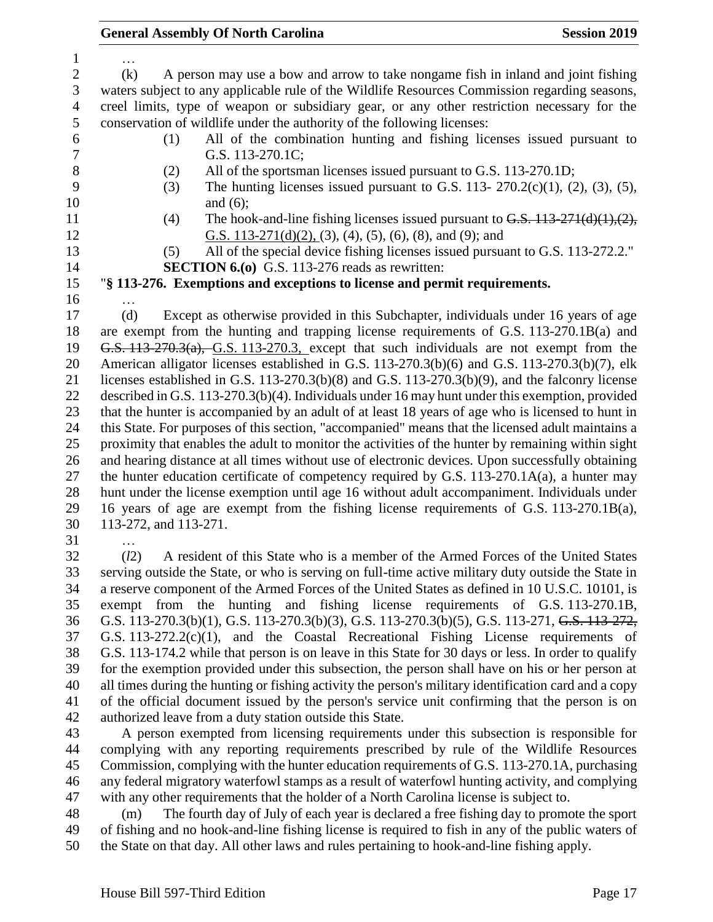… (k) A person may use a bow and arrow to take nongame fish in inland and joint fishing waters subject to any applicable rule of the Wildlife Resources Commission regarding seasons, creel limits, type of weapon or subsidiary gear, or any other restriction necessary for the conservation of wildlife under the authority of the following licenses: (1) All of the combination hunting and fishing licenses issued pursuant to G.S. 113-270.1C; (2) All of the sportsman licenses issued pursuant to G.S. 113-270.1D; (3) The hunting licenses issued pursuant to G.S. 113- 270.2(c)(1), (2), (3), (5), 10 and (6); 11 (4) The hook-and-line fishing licenses issued pursuant to  $G.S.$   $113-271(d)(1),(2)$ , G.S. 113-271(d)(2), (3), (4), (5), (6), (8), and (9); and (5) All of the special device fishing licenses issued pursuant to G.S. 113-272.2." **SECTION 6.(o)** G.S. 113-276 reads as rewritten: "**§ 113-276. Exemptions and exceptions to license and permit requirements.** … (d) Except as otherwise provided in this Subchapter, individuals under 16 years of age are exempt from the hunting and trapping license requirements of G.S. 113-270.1B(a) and G.S. 113-270.3(a), G.S. 113-270.3, except that such individuals are not exempt from the American alligator licenses established in G.S. 113-270.3(b)(6) and G.S. 113-270.3(b)(7), elk licenses established in G.S. 113-270.3(b)(8) and G.S. 113-270.3(b)(9), and the falconry license described in G.S. 113-270.3(b)(4). Individuals under 16 may hunt under this exemption, provided that the hunter is accompanied by an adult of at least 18 years of age who is licensed to hunt in this State. For purposes of this section, "accompanied" means that the licensed adult maintains a proximity that enables the adult to monitor the activities of the hunter by remaining within sight and hearing distance at all times without use of electronic devices. Upon successfully obtaining 27 the hunter education certificate of competency required by G.S. 113-270.1A(a), a hunter may hunt under the license exemption until age 16 without adult accompaniment. Individuals under 16 years of age are exempt from the fishing license requirements of G.S. 113-270.1B(a), 113-272, and 113-271. … (*l*2) A resident of this State who is a member of the Armed Forces of the United States serving outside the State, or who is serving on full-time active military duty outside the State in

 a reserve component of the Armed Forces of the United States as defined in 10 U.S.C. 10101, is exempt from the hunting and fishing license requirements of G.S. 113-270.1B, G.S. 113-270.3(b)(1), G.S. 113-270.3(b)(3), G.S. 113-270.3(b)(5), G.S. 113-271, G.S. 113-272, G.S. 113-272.2(c)(1), and the Coastal Recreational Fishing License requirements of G.S. 113-174.2 while that person is on leave in this State for 30 days or less. In order to qualify for the exemption provided under this subsection, the person shall have on his or her person at all times during the hunting or fishing activity the person's military identification card and a copy of the official document issued by the person's service unit confirming that the person is on authorized leave from a duty station outside this State.

 A person exempted from licensing requirements under this subsection is responsible for complying with any reporting requirements prescribed by rule of the Wildlife Resources Commission, complying with the hunter education requirements of G.S. 113-270.1A, purchasing any federal migratory waterfowl stamps as a result of waterfowl hunting activity, and complying with any other requirements that the holder of a North Carolina license is subject to.

 (m) The fourth day of July of each year is declared a free fishing day to promote the sport of fishing and no hook-and-line fishing license is required to fish in any of the public waters of the State on that day. All other laws and rules pertaining to hook-and-line fishing apply.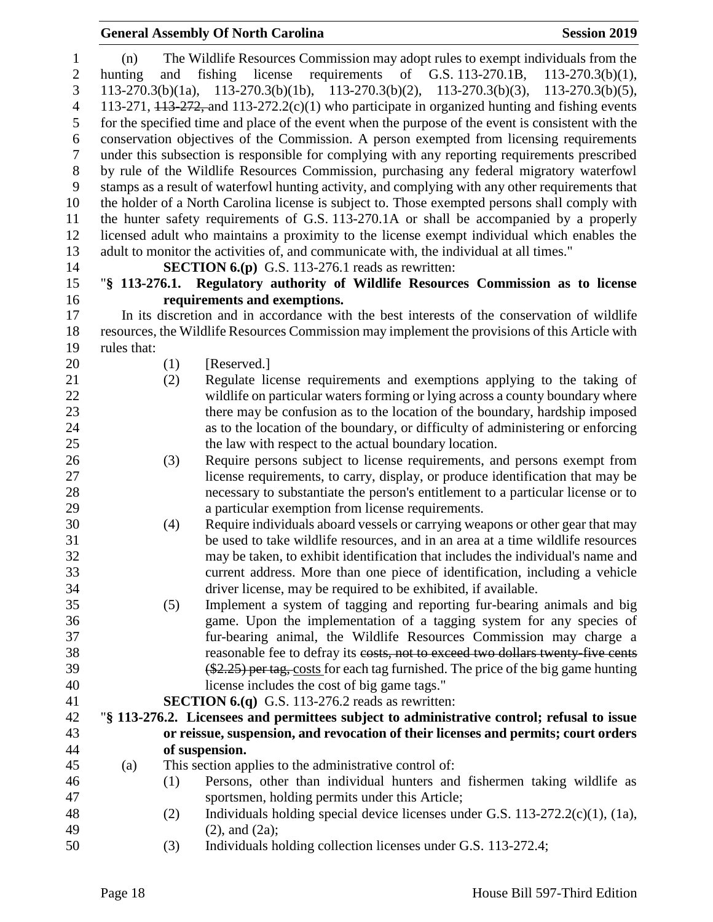### **General Assembly Of North Carolina Session 2019**

| $\mathbf{1}$             | (n)                                                                                                |     | The Wildlife Resources Commission may adopt rules to exempt individuals from the                      |  |
|--------------------------|----------------------------------------------------------------------------------------------------|-----|-------------------------------------------------------------------------------------------------------|--|
| $\mathbf{2}$             | hunting                                                                                            | and | fishing<br>license<br>requirements of G.S. 113-270.1B,<br>$113 - 270.3(b)(1)$ ,                       |  |
| 3                        |                                                                                                    |     | $113-270.3(b)(1a)$ , $113-270.3(b)(1b)$ , $113-270.3(b)(2)$ , $113-270.3(b)(3)$ , $113-270.3(b)(5)$ , |  |
| $\overline{\mathcal{A}}$ | 113-271, $113-272$ , and $113-272.2(c)(1)$ who participate in organized hunting and fishing events |     |                                                                                                       |  |
| 5                        |                                                                                                    |     | for the specified time and place of the event when the purpose of the event is consistent with the    |  |
| 6                        |                                                                                                    |     | conservation objectives of the Commission. A person exempted from licensing requirements              |  |
| $\sqrt{ }$               |                                                                                                    |     | under this subsection is responsible for complying with any reporting requirements prescribed         |  |
| $8\,$                    |                                                                                                    |     | by rule of the Wildlife Resources Commission, purchasing any federal migratory waterfowl              |  |
| 9                        |                                                                                                    |     | stamps as a result of waterfowl hunting activity, and complying with any other requirements that      |  |
| 10                       | the holder of a North Carolina license is subject to. Those exempted persons shall comply with     |     |                                                                                                       |  |
| 11                       | the hunter safety requirements of G.S. 113-270.1A or shall be accompanied by a properly            |     |                                                                                                       |  |
| 12                       | licensed adult who maintains a proximity to the license exempt individual which enables the        |     |                                                                                                       |  |
| 13                       |                                                                                                    |     | adult to monitor the activities of, and communicate with, the individual at all times."               |  |
| 14                       |                                                                                                    |     | <b>SECTION 6.(p)</b> G.S. 113-276.1 reads as rewritten:                                               |  |
| 15                       |                                                                                                    |     | "§ 113-276.1. Regulatory authority of Wildlife Resources Commission as to license                     |  |
| 16                       |                                                                                                    |     | requirements and exemptions.                                                                          |  |
| 17                       |                                                                                                    |     | In its discretion and in accordance with the best interests of the conservation of wildlife           |  |
| 18                       |                                                                                                    |     | resources, the Wildlife Resources Commission may implement the provisions of this Article with        |  |
| 19                       | rules that:                                                                                        |     |                                                                                                       |  |
| 20                       |                                                                                                    |     | [Reserved.]                                                                                           |  |
| 21                       |                                                                                                    | (1) |                                                                                                       |  |
| 22                       |                                                                                                    | (2) | Regulate license requirements and exemptions applying to the taking of                                |  |
|                          |                                                                                                    |     | wildlife on particular waters forming or lying across a county boundary where                         |  |
| 23                       |                                                                                                    |     | there may be confusion as to the location of the boundary, hardship imposed                           |  |
| 24                       |                                                                                                    |     | as to the location of the boundary, or difficulty of administering or enforcing                       |  |
| 25                       |                                                                                                    |     | the law with respect to the actual boundary location.                                                 |  |
| 26                       |                                                                                                    | (3) | Require persons subject to license requirements, and persons exempt from                              |  |
| 27                       |                                                                                                    |     | license requirements, to carry, display, or produce identification that may be                        |  |
| 28                       |                                                                                                    |     | necessary to substantiate the person's entitlement to a particular license or to                      |  |
| 29                       |                                                                                                    |     | a particular exemption from license requirements.                                                     |  |
| 30                       |                                                                                                    | (4) | Require individuals aboard vessels or carrying weapons or other gear that may                         |  |
| 31                       |                                                                                                    |     | be used to take wildlife resources, and in an area at a time wildlife resources                       |  |
| 32                       |                                                                                                    |     | may be taken, to exhibit identification that includes the individual's name and                       |  |
| 33                       |                                                                                                    |     | current address. More than one piece of identification, including a vehicle                           |  |
| 34                       |                                                                                                    |     | driver license, may be required to be exhibited, if available.                                        |  |
| 35                       |                                                                                                    | (5) | Implement a system of tagging and reporting fur-bearing animals and big                               |  |
| 36                       |                                                                                                    |     | game. Upon the implementation of a tagging system for any species of                                  |  |
| 37                       |                                                                                                    |     | fur-bearing animal, the Wildlife Resources Commission may charge a                                    |  |
| 38                       |                                                                                                    |     | reasonable fee to defray its costs, not to exceed two dollars twenty five cents                       |  |
| 39                       |                                                                                                    |     | $(*2.25)$ per tag, costs for each tag furnished. The price of the big game hunting                    |  |
| 40                       |                                                                                                    |     | license includes the cost of big game tags."                                                          |  |
| 41                       |                                                                                                    |     | <b>SECTION 6.(q)</b> G.S. 113-276.2 reads as rewritten:                                               |  |
| 42                       |                                                                                                    |     | "\\$ 113-276.2. Licensees and permittees subject to administrative control; refusal to issue          |  |
| 43                       |                                                                                                    |     | or reissue, suspension, and revocation of their licenses and permits; court orders                    |  |
| 44                       |                                                                                                    |     | of suspension.                                                                                        |  |
| 45                       | (a)                                                                                                |     | This section applies to the administrative control of:                                                |  |
| 46                       |                                                                                                    | (1) | Persons, other than individual hunters and fishermen taking wildlife as                               |  |
| 47                       |                                                                                                    |     | sportsmen, holding permits under this Article;                                                        |  |
| 48                       |                                                                                                    | (2) | Individuals holding special device licenses under G.S. $113-272.2(c)(1)$ , $(1a)$ ,                   |  |
| 49                       |                                                                                                    |     | $(2)$ , and $(2a)$ ;                                                                                  |  |
| 50                       |                                                                                                    | (3) | Individuals holding collection licenses under G.S. 113-272.4;                                         |  |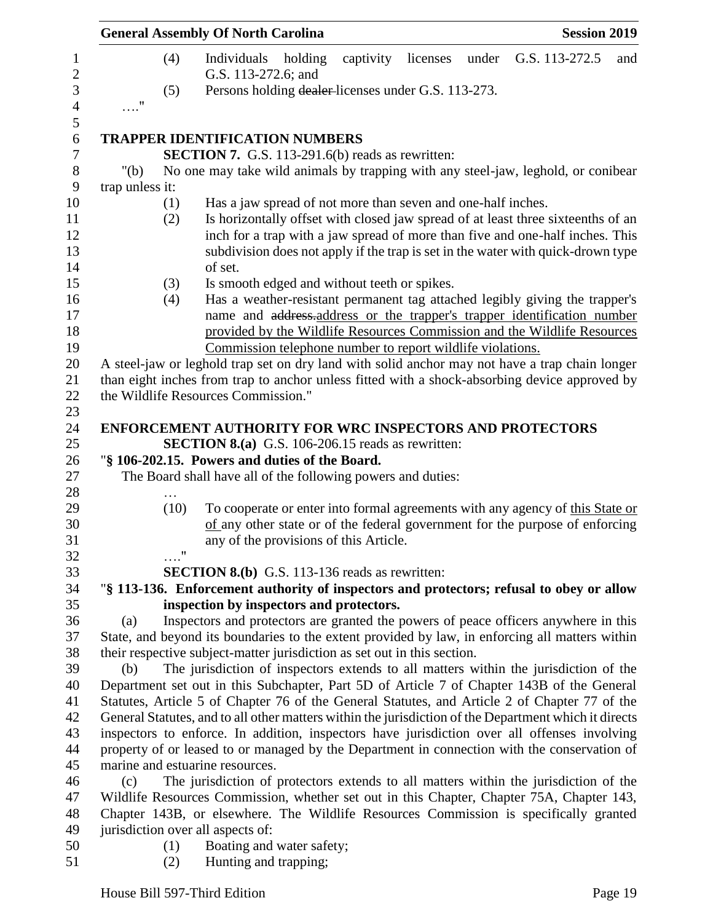| <b>General Assembly Of North Carolina</b><br><b>Session 2019</b>                                                                                    |  |  |  |
|-----------------------------------------------------------------------------------------------------------------------------------------------------|--|--|--|
| G.S. 113-272.5<br>(4)<br>Individuals<br>holding<br>captivity<br>licenses<br>under<br>and<br>G.S. 113-272.6; and                                     |  |  |  |
| Persons holding dealer-licenses under G.S. 113-273.<br>(5)                                                                                          |  |  |  |
| $\ldots$ "                                                                                                                                          |  |  |  |
|                                                                                                                                                     |  |  |  |
| <b>TRAPPER IDENTIFICATION NUMBERS</b>                                                                                                               |  |  |  |
| <b>SECTION 7.</b> G.S. 113-291.6(b) reads as rewritten:                                                                                             |  |  |  |
| No one may take wild animals by trapping with any steel-jaw, leghold, or conibear<br>" $(b)$                                                        |  |  |  |
| trap unless it:                                                                                                                                     |  |  |  |
| Has a jaw spread of not more than seven and one-half inches.<br>(1)                                                                                 |  |  |  |
| Is horizontally offset with closed jaw spread of at least three sixteenths of an<br>(2)                                                             |  |  |  |
| inch for a trap with a jaw spread of more than five and one-half inches. This                                                                       |  |  |  |
| subdivision does not apply if the trap is set in the water with quick-drown type                                                                    |  |  |  |
| of set.                                                                                                                                             |  |  |  |
| Is smooth edged and without teeth or spikes.<br>(3)                                                                                                 |  |  |  |
| Has a weather-resistant permanent tag attached legibly giving the trapper's<br>(4)                                                                  |  |  |  |
| name and address-address or the trapper's trapper identification number<br>provided by the Wildlife Resources Commission and the Wildlife Resources |  |  |  |
| Commission telephone number to report wildlife violations.                                                                                          |  |  |  |
| A steel-jaw or leghold trap set on dry land with solid anchor may not have a trap chain longer                                                      |  |  |  |
| than eight inches from trap to anchor unless fitted with a shock-absorbing device approved by                                                       |  |  |  |
| the Wildlife Resources Commission."                                                                                                                 |  |  |  |
|                                                                                                                                                     |  |  |  |
| <b>ENFORCEMENT AUTHORITY FOR WRC INSPECTORS AND PROTECTORS</b>                                                                                      |  |  |  |
| <b>SECTION 8.(a)</b> G.S. 106-206.15 reads as rewritten:                                                                                            |  |  |  |
| "§ 106-202.15. Powers and duties of the Board.                                                                                                      |  |  |  |
| The Board shall have all of the following powers and duties:                                                                                        |  |  |  |
|                                                                                                                                                     |  |  |  |
| (10)<br>To cooperate or enter into formal agreements with any agency of this State or                                                               |  |  |  |
| of any other state or of the federal government for the purpose of enforcing                                                                        |  |  |  |
| any of the provisions of this Article.<br>$\pmb{\mathsf{H}}$                                                                                        |  |  |  |
|                                                                                                                                                     |  |  |  |
| <b>SECTION 8.(b)</b> G.S. 113-136 reads as rewritten:                                                                                               |  |  |  |
| "§ 113-136. Enforcement authority of inspectors and protectors; refusal to obey or allow<br>inspection by inspectors and protectors.                |  |  |  |
| Inspectors and protectors are granted the powers of peace officers anywhere in this<br>(a)                                                          |  |  |  |
| State, and beyond its boundaries to the extent provided by law, in enforcing all matters within                                                     |  |  |  |
| their respective subject-matter jurisdiction as set out in this section.                                                                            |  |  |  |
| The jurisdiction of inspectors extends to all matters within the jurisdiction of the<br>(b)                                                         |  |  |  |
| Department set out in this Subchapter, Part 5D of Article 7 of Chapter 143B of the General                                                          |  |  |  |
| Statutes, Article 5 of Chapter 76 of the General Statutes, and Article 2 of Chapter 77 of the                                                       |  |  |  |
| General Statutes, and to all other matters within the jurisdiction of the Department which it directs                                               |  |  |  |
| inspectors to enforce. In addition, inspectors have jurisdiction over all offenses involving                                                        |  |  |  |
| property of or leased to or managed by the Department in connection with the conservation of                                                        |  |  |  |
| marine and estuarine resources.                                                                                                                     |  |  |  |
| The jurisdiction of protectors extends to all matters within the jurisdiction of the<br>(c)                                                         |  |  |  |
| Wildlife Resources Commission, whether set out in this Chapter, Chapter 75A, Chapter 143,                                                           |  |  |  |
| Chapter 143B, or elsewhere. The Wildlife Resources Commission is specifically granted                                                               |  |  |  |
| jurisdiction over all aspects of:                                                                                                                   |  |  |  |
| Boating and water safety;<br>(1)                                                                                                                    |  |  |  |
| Hunting and trapping;<br>(2)                                                                                                                        |  |  |  |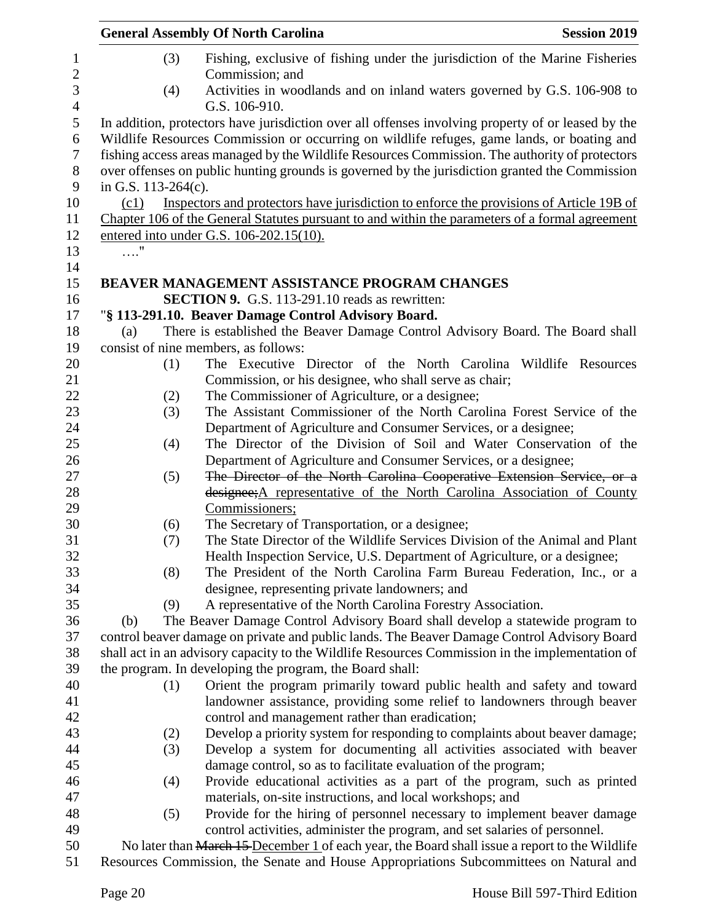|                        |     | <b>General Assembly Of North Carolina</b>                                                                                                                                                                                                                                                      | <b>Session 2019</b> |
|------------------------|-----|------------------------------------------------------------------------------------------------------------------------------------------------------------------------------------------------------------------------------------------------------------------------------------------------|---------------------|
|                        | (3) | Fishing, exclusive of fishing under the jurisdiction of the Marine Fisheries<br>Commission; and                                                                                                                                                                                                |                     |
|                        | (4) | Activities in woodlands and on inland waters governed by G.S. 106-908 to<br>G.S. 106-910.                                                                                                                                                                                                      |                     |
|                        |     | In addition, protectors have jurisdiction over all offenses involving property of or leased by the                                                                                                                                                                                             |                     |
| in G.S. $113-264(c)$ . |     | Wildlife Resources Commission or occurring on wildlife refuges, game lands, or boating and<br>fishing access areas managed by the Wildlife Resources Commission. The authority of protectors<br>over offenses on public hunting grounds is governed by the jurisdiction granted the Commission |                     |
| (c1)                   |     | Inspectors and protectors have jurisdiction to enforce the provisions of Article 19B of                                                                                                                                                                                                        |                     |
|                        |     | Chapter 106 of the General Statutes pursuant to and within the parameters of a formal agreement                                                                                                                                                                                                |                     |
|                        |     | entered into under G.S. 106-202.15(10).                                                                                                                                                                                                                                                        |                     |
| $\ldots$ "             |     |                                                                                                                                                                                                                                                                                                |                     |
|                        |     |                                                                                                                                                                                                                                                                                                |                     |
|                        |     | BEAVER MANAGEMENT ASSISTANCE PROGRAM CHANGES                                                                                                                                                                                                                                                   |                     |
|                        |     | <b>SECTION 9.</b> G.S. 113-291.10 reads as rewritten:                                                                                                                                                                                                                                          |                     |
|                        |     | "§ 113-291.10. Beaver Damage Control Advisory Board.                                                                                                                                                                                                                                           |                     |
| (a)                    |     | There is established the Beaver Damage Control Advisory Board. The Board shall                                                                                                                                                                                                                 |                     |
|                        |     | consist of nine members, as follows:                                                                                                                                                                                                                                                           |                     |
|                        | (1) | The Executive Director of the North Carolina                                                                                                                                                                                                                                                   | Wildlife Resources  |
|                        |     | Commission, or his designee, who shall serve as chair;                                                                                                                                                                                                                                         |                     |
|                        | (2) | The Commissioner of Agriculture, or a designee;                                                                                                                                                                                                                                                |                     |
|                        | (3) | The Assistant Commissioner of the North Carolina Forest Service of the                                                                                                                                                                                                                         |                     |
|                        |     | Department of Agriculture and Consumer Services, or a designee;                                                                                                                                                                                                                                |                     |
|                        | (4) | The Director of the Division of Soil and Water Conservation of the                                                                                                                                                                                                                             |                     |
|                        |     | Department of Agriculture and Consumer Services, or a designee;                                                                                                                                                                                                                                |                     |
|                        | (5) | The Director of the North Carolina Cooperative Extension Service, or a                                                                                                                                                                                                                         |                     |
|                        |     | designee; A representative of the North Carolina Association of County                                                                                                                                                                                                                         |                     |
|                        |     | Commissioners;                                                                                                                                                                                                                                                                                 |                     |
|                        | (6) | The Secretary of Transportation, or a designee;                                                                                                                                                                                                                                                |                     |
|                        | (7) | The State Director of the Wildlife Services Division of the Animal and Plant                                                                                                                                                                                                                   |                     |
|                        |     | Health Inspection Service, U.S. Department of Agriculture, or a designee;                                                                                                                                                                                                                      |                     |
|                        | (8) | The President of the North Carolina Farm Bureau Federation, Inc., or a                                                                                                                                                                                                                         |                     |
|                        |     | designee, representing private landowners; and                                                                                                                                                                                                                                                 |                     |
|                        | (9) | A representative of the North Carolina Forestry Association.                                                                                                                                                                                                                                   |                     |
| (b)                    |     | The Beaver Damage Control Advisory Board shall develop a statewide program to                                                                                                                                                                                                                  |                     |
|                        |     | control beaver damage on private and public lands. The Beaver Damage Control Advisory Board                                                                                                                                                                                                    |                     |
|                        |     | shall act in an advisory capacity to the Wildlife Resources Commission in the implementation of                                                                                                                                                                                                |                     |
|                        |     | the program. In developing the program, the Board shall:                                                                                                                                                                                                                                       |                     |
|                        | (1) | Orient the program primarily toward public health and safety and toward                                                                                                                                                                                                                        |                     |
|                        |     | landowner assistance, providing some relief to landowners through beaver                                                                                                                                                                                                                       |                     |
|                        |     | control and management rather than eradication;                                                                                                                                                                                                                                                |                     |
|                        | (2) | Develop a priority system for responding to complaints about beaver damage;                                                                                                                                                                                                                    |                     |
|                        | (3) | Develop a system for documenting all activities associated with beaver                                                                                                                                                                                                                         |                     |
|                        |     | damage control, so as to facilitate evaluation of the program;                                                                                                                                                                                                                                 |                     |
|                        |     | Provide educational activities as a part of the program, such as printed                                                                                                                                                                                                                       |                     |
|                        | (4) |                                                                                                                                                                                                                                                                                                |                     |
|                        |     | materials, on-site instructions, and local workshops; and                                                                                                                                                                                                                                      |                     |
|                        | (5) | Provide for the hiring of personnel necessary to implement beaver damage                                                                                                                                                                                                                       |                     |
|                        |     | control activities, administer the program, and set salaries of personnel.                                                                                                                                                                                                                     |                     |
|                        |     | No later than March 15 December 1 of each year, the Board shall issue a report to the Wildlife                                                                                                                                                                                                 |                     |
|                        |     | Resources Commission, the Senate and House Appropriations Subcommittees on Natural and                                                                                                                                                                                                         |                     |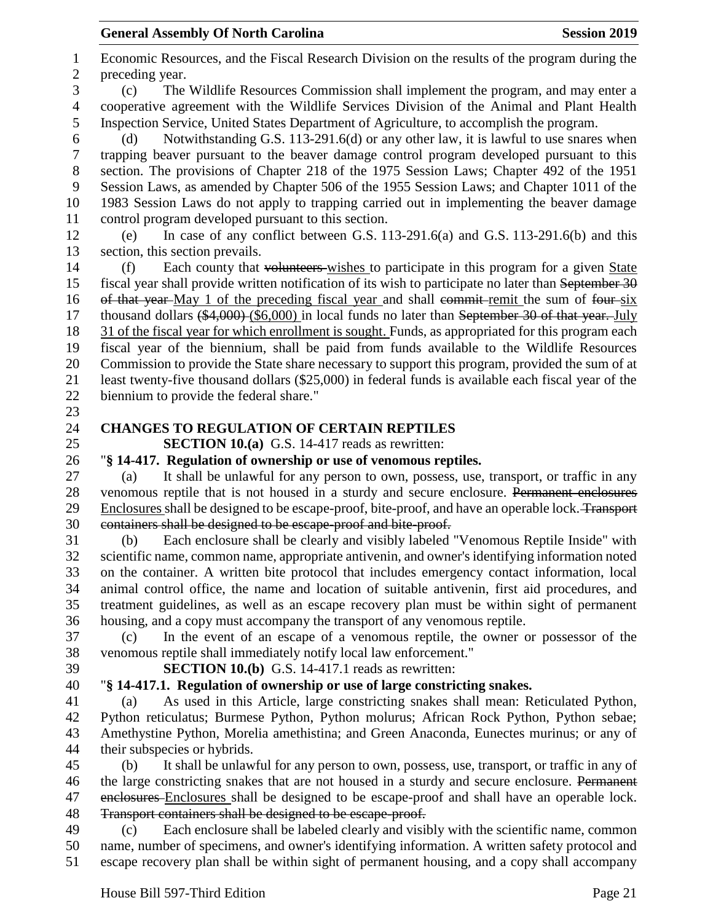Economic Resources, and the Fiscal Research Division on the results of the program during the preceding year. (c) The Wildlife Resources Commission shall implement the program, and may enter a cooperative agreement with the Wildlife Services Division of the Animal and Plant Health Inspection Service, United States Department of Agriculture, to accomplish the program. (d) Notwithstanding G.S. 113-291.6(d) or any other law, it is lawful to use snares when trapping beaver pursuant to the beaver damage control program developed pursuant to this section. The provisions of Chapter 218 of the 1975 Session Laws; Chapter 492 of the 1951 Session Laws, as amended by Chapter 506 of the 1955 Session Laws; and Chapter 1011 of the 1983 Session Laws do not apply to trapping carried out in implementing the beaver damage control program developed pursuant to this section. (e) In case of any conflict between G.S. 113-291.6(a) and G.S. 113-291.6(b) and this section, this section prevails. (f) Each county that volunteers wishes to participate in this program for a given State fiscal year shall provide written notification of its wish to participate no later than September 30 16 of that year-May 1 of the preceding fiscal year and shall commit-remit the sum of four-six 17 thousand dollars (\$4,000) (\$6,000) in local funds no later than September 30 of that year. July 31 of the fiscal year for which enrollment is sought. Funds, as appropriated for this program each fiscal year of the biennium, shall be paid from funds available to the Wildlife Resources Commission to provide the State share necessary to support this program, provided the sum of at least twenty-five thousand dollars (\$25,000) in federal funds is available each fiscal year of the biennium to provide the federal share." **CHANGES TO REGULATION OF CERTAIN REPTILES SECTION 10.(a)** G.S. 14-417 reads as rewritten: "**§ 14-417. Regulation of ownership or use of venomous reptiles.** (a) It shall be unlawful for any person to own, possess, use, transport, or traffic in any venomous reptile that is not housed in a sturdy and secure enclosure. Permanent enclosures Enclosures shall be designed to be escape-proof, bite-proof, and have an operable lock. Transport containers shall be designed to be escape-proof and bite-proof. (b) Each enclosure shall be clearly and visibly labeled "Venomous Reptile Inside" with scientific name, common name, appropriate antivenin, and owner's identifying information noted on the container. A written bite protocol that includes emergency contact information, local animal control office, the name and location of suitable antivenin, first aid procedures, and treatment guidelines, as well as an escape recovery plan must be within sight of permanent housing, and a copy must accompany the transport of any venomous reptile. (c) In the event of an escape of a venomous reptile, the owner or possessor of the venomous reptile shall immediately notify local law enforcement." **SECTION 10.(b)** G.S. 14-417.1 reads as rewritten: "**§ 14-417.1. Regulation of ownership or use of large constricting snakes.** (a) As used in this Article, large constricting snakes shall mean: Reticulated Python, Python reticulatus; Burmese Python, Python molurus; African Rock Python, Python sebae; Amethystine Python, Morelia amethistina; and Green Anaconda, Eunectes murinus; or any of their subspecies or hybrids. (b) It shall be unlawful for any person to own, possess, use, transport, or traffic in any of 46 the large constricting snakes that are not housed in a sturdy and secure enclosure. Permanent 47 enclosures Enclosures shall be designed to be escape-proof and shall have an operable lock. Transport containers shall be designed to be escape-proof. (c) Each enclosure shall be labeled clearly and visibly with the scientific name, common name, number of specimens, and owner's identifying information. A written safety protocol and

escape recovery plan shall be within sight of permanent housing, and a copy shall accompany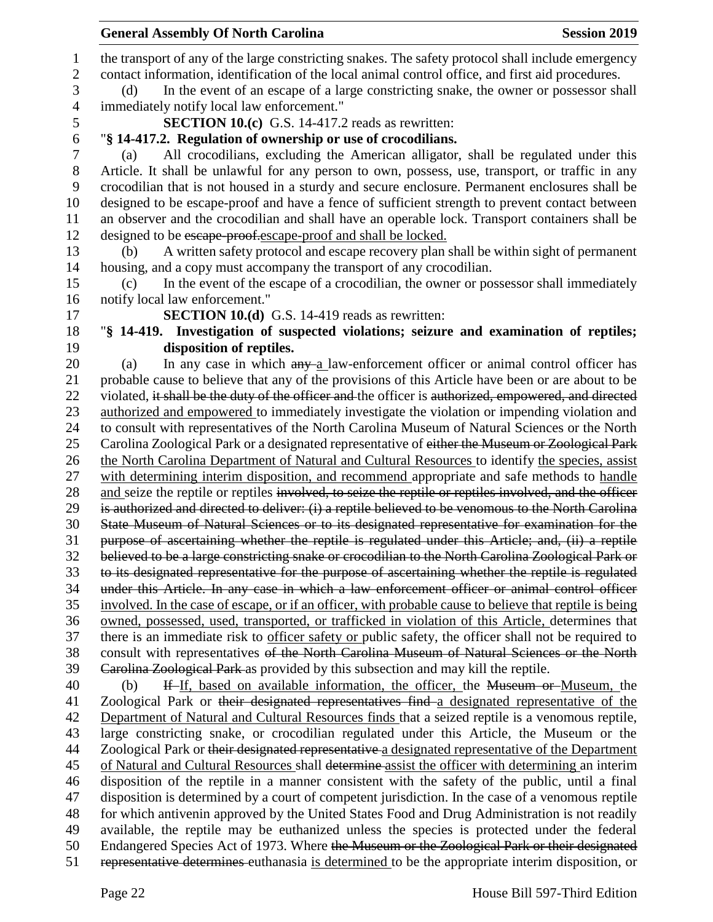| <b>General Assembly Of North Carolina</b><br><b>Session 2019</b>                                                                                                                                      |
|-------------------------------------------------------------------------------------------------------------------------------------------------------------------------------------------------------|
| the transport of any of the large constricting snakes. The safety protocol shall include emergency                                                                                                    |
| contact information, identification of the local animal control office, and first aid procedures.                                                                                                     |
| In the event of an escape of a large constricting snake, the owner or possessor shall<br>(d)                                                                                                          |
| immediately notify local law enforcement."                                                                                                                                                            |
| <b>SECTION 10.(c)</b> G.S. 14-417.2 reads as rewritten:                                                                                                                                               |
| "§ 14-417.2. Regulation of ownership or use of crocodilians.                                                                                                                                          |
| All crocodilians, excluding the American alligator, shall be regulated under this<br>(a)                                                                                                              |
| Article. It shall be unlawful for any person to own, possess, use, transport, or traffic in any                                                                                                       |
| crocodilian that is not housed in a sturdy and secure enclosure. Permanent enclosures shall be                                                                                                        |
| designed to be escape-proof and have a fence of sufficient strength to prevent contact between                                                                                                        |
| an observer and the crocodilian and shall have an operable lock. Transport containers shall be                                                                                                        |
| designed to be escape proof.escape-proof and shall be locked.                                                                                                                                         |
| A written safety protocol and escape recovery plan shall be within sight of permanent<br>(b)                                                                                                          |
| housing, and a copy must accompany the transport of any crocodilian.                                                                                                                                  |
| In the event of the escape of a crocodilian, the owner or possessor shall immediately<br>(c)                                                                                                          |
| notify local law enforcement."                                                                                                                                                                        |
| <b>SECTION 10.(d)</b> G.S. 14-419 reads as rewritten:                                                                                                                                                 |
| "§ 14-419. Investigation of suspected violations; seizure and examination of reptiles;                                                                                                                |
| disposition of reptiles.                                                                                                                                                                              |
| In any case in which any a law-enforcement officer or animal control officer has<br>(a)                                                                                                               |
| probable cause to believe that any of the provisions of this Article have been or are about to be                                                                                                     |
| violated, it shall be the duty of the officer and the officer is authorized, empowered, and directed                                                                                                  |
| authorized and empowered to immediately investigate the violation or impending violation and                                                                                                          |
| to consult with representatives of the North Carolina Museum of Natural Sciences or the North                                                                                                         |
| Carolina Zoological Park or a designated representative of either the Museum or Zoological Park                                                                                                       |
| the North Carolina Department of Natural and Cultural Resources to identify the species, assist                                                                                                       |
| with determining interim disposition, and recommend appropriate and safe methods to handle                                                                                                            |
| and seize the reptile or reptiles involved, to seize the reptile or reptiles involved, and the officer                                                                                                |
| is authorized and directed to deliver: (i) a reptile believed to be venomous to the North Carolina                                                                                                    |
| State Museum of Natural Sciences or to its designated representative for examination for the                                                                                                          |
| purpose of ascertaining whether the reptile is regulated under this Article; and, (ii) a reptile<br>believed to be a large constricting snake or crocodilian to the North Carolina Zoological Park or |
| to its designated representative for the purpose of ascertaining whether the reptile is regulated                                                                                                     |
| under this Article. In any case in which a law enforcement officer or animal control officer                                                                                                          |
| involved. In the case of escape, or if an officer, with probable cause to believe that reptile is being                                                                                               |
| owned, possessed, used, transported, or trafficked in violation of this Article, determines that                                                                                                      |
| there is an immediate risk to officer safety or public safety, the officer shall not be required to                                                                                                   |
| consult with representatives of the North Carolina Museum of Natural Sciences or the North                                                                                                            |
| Carolina Zoological Park as provided by this subsection and may kill the reptile.                                                                                                                     |
| If If, based on available information, the officer, the Museum or Museum, the<br>(b)                                                                                                                  |
| Zoological Park or their designated representatives find a designated representative of the                                                                                                           |
| Department of Natural and Cultural Resources finds that a seized reptile is a venomous reptile,                                                                                                       |
| large constricting snake, or crocodilian regulated under this Article, the Museum or the                                                                                                              |
| Zoological Park or their designated representative a designated representative of the Department                                                                                                      |
| of Natural and Cultural Resources shall determine assist the officer with determining an interim                                                                                                      |
| disposition of the reptile in a manner consistent with the safety of the public, until a final                                                                                                        |
| disposition is determined by a court of competent jurisdiction. In the case of a venomous reptile                                                                                                     |
| for which antivenin approved by the United States Food and Drug Administration is not readily                                                                                                         |
| available, the reptile may be euthanized unless the species is protected under the federal                                                                                                            |
| Endangered Species Act of 1973. Where the Museum or the Zoological Park or their designated                                                                                                           |
| representative determines euthanasia is determined to be the appropriate interim disposition, or                                                                                                      |
|                                                                                                                                                                                                       |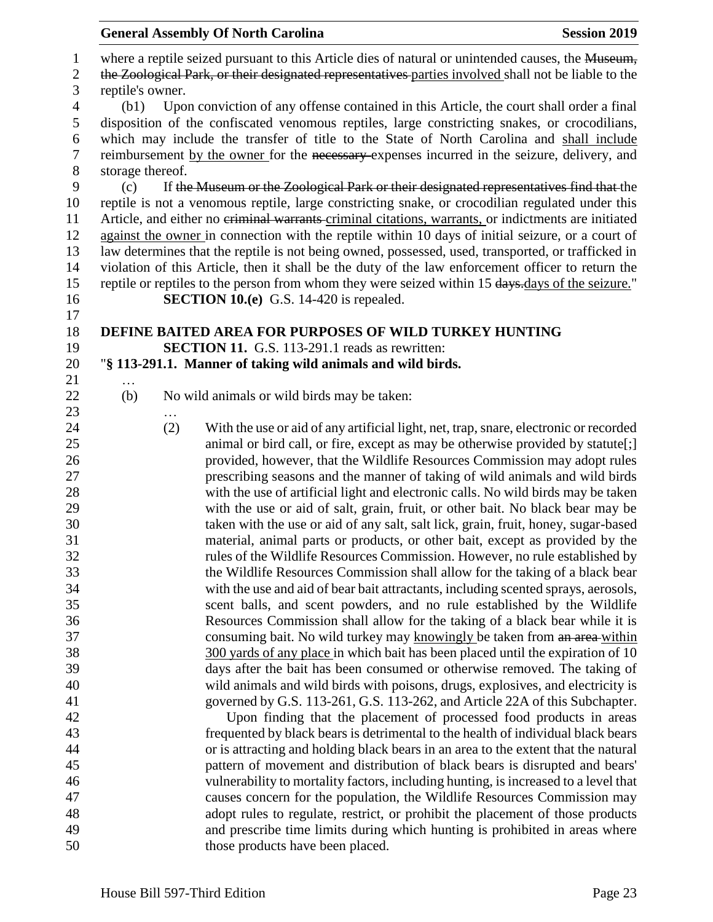|                                    |                          | <b>General Assembly Of North Carolina</b>                                                                                                                                                                                                                                                                                                                                                                                                                                                                                                                                                                         | <b>Session 2019</b> |
|------------------------------------|--------------------------|-------------------------------------------------------------------------------------------------------------------------------------------------------------------------------------------------------------------------------------------------------------------------------------------------------------------------------------------------------------------------------------------------------------------------------------------------------------------------------------------------------------------------------------------------------------------------------------------------------------------|---------------------|
| $\mathbf{1}$<br>$\mathbf{2}$<br>3  | reptile's owner.         | where a reptile seized pursuant to this Article dies of natural or unintended causes, the Museum,<br>the Zoological Park, or their designated representatives parties involved shall not be liable to the                                                                                                                                                                                                                                                                                                                                                                                                         |                     |
| $\overline{4}$<br>5<br>6<br>7<br>8 | (b1)<br>storage thereof. | Upon conviction of any offense contained in this Article, the court shall order a final<br>disposition of the confiscated venomous reptiles, large constricting snakes, or crocodilians,<br>which may include the transfer of title to the State of North Carolina and shall include<br>reimbursement by the owner for the necessary expenses incurred in the seizure, delivery, and                                                                                                                                                                                                                              |                     |
| 9<br>10<br>11<br>12<br>13<br>14    | (c)                      | If the Museum or the Zoological Park or their designated representatives find that the<br>reptile is not a venomous reptile, large constricting snake, or crocodilian regulated under this<br>Article, and either no eriminal warrants-criminal citations, warrants, or indictments are initiated<br>against the owner in connection with the reptile within 10 days of initial seizure, or a court of<br>law determines that the reptile is not being owned, possessed, used, transported, or trafficked in<br>violation of this Article, then it shall be the duty of the law enforcement officer to return the |                     |
| 15<br>16                           |                          | reptile or reptiles to the person from whom they were seized within 15 days.days of the seizure."<br><b>SECTION 10.(e)</b> G.S. 14-420 is repealed.                                                                                                                                                                                                                                                                                                                                                                                                                                                               |                     |
| 17                                 |                          |                                                                                                                                                                                                                                                                                                                                                                                                                                                                                                                                                                                                                   |                     |
| 18                                 |                          | DEFINE BAITED AREA FOR PURPOSES OF WILD TURKEY HUNTING                                                                                                                                                                                                                                                                                                                                                                                                                                                                                                                                                            |                     |
| 19<br>20                           |                          | <b>SECTION 11.</b> G.S. 113-291.1 reads as rewritten:<br>"§ 113-291.1. Manner of taking wild animals and wild birds.                                                                                                                                                                                                                                                                                                                                                                                                                                                                                              |                     |
| 21                                 | $\ddotsc$                |                                                                                                                                                                                                                                                                                                                                                                                                                                                                                                                                                                                                                   |                     |
| 22<br>23                           | (b)<br>$\cdots$          | No wild animals or wild birds may be taken:                                                                                                                                                                                                                                                                                                                                                                                                                                                                                                                                                                       |                     |
| 24                                 | (2)                      | With the use or aid of any artificial light, net, trap, snare, electronic or recorded                                                                                                                                                                                                                                                                                                                                                                                                                                                                                                                             |                     |
| 25                                 |                          | animal or bird call, or fire, except as may be otherwise provided by statute[;]                                                                                                                                                                                                                                                                                                                                                                                                                                                                                                                                   |                     |
| 26                                 |                          | provided, however, that the Wildlife Resources Commission may adopt rules                                                                                                                                                                                                                                                                                                                                                                                                                                                                                                                                         |                     |
| 27                                 |                          | prescribing seasons and the manner of taking of wild animals and wild birds                                                                                                                                                                                                                                                                                                                                                                                                                                                                                                                                       |                     |
| 28<br>29                           |                          | with the use of artificial light and electronic calls. No wild birds may be taken<br>with the use or aid of salt, grain, fruit, or other bait. No black bear may be                                                                                                                                                                                                                                                                                                                                                                                                                                               |                     |
| 30                                 |                          | taken with the use or aid of any salt, salt lick, grain, fruit, honey, sugar-based                                                                                                                                                                                                                                                                                                                                                                                                                                                                                                                                |                     |
| 31                                 |                          | material, animal parts or products, or other bait, except as provided by the                                                                                                                                                                                                                                                                                                                                                                                                                                                                                                                                      |                     |
| 32                                 |                          | rules of the Wildlife Resources Commission. However, no rule established by                                                                                                                                                                                                                                                                                                                                                                                                                                                                                                                                       |                     |
| 33                                 |                          | the Wildlife Resources Commission shall allow for the taking of a black bear                                                                                                                                                                                                                                                                                                                                                                                                                                                                                                                                      |                     |
| 34                                 |                          | with the use and aid of bear bait attractants, including scented sprays, aerosols,                                                                                                                                                                                                                                                                                                                                                                                                                                                                                                                                |                     |
| 35                                 |                          | scent balls, and scent powders, and no rule established by the Wildlife                                                                                                                                                                                                                                                                                                                                                                                                                                                                                                                                           |                     |
| 36                                 |                          | Resources Commission shall allow for the taking of a black bear while it is                                                                                                                                                                                                                                                                                                                                                                                                                                                                                                                                       |                     |
| 37                                 |                          | consuming bait. No wild turkey may knowingly be taken from an area-within                                                                                                                                                                                                                                                                                                                                                                                                                                                                                                                                         |                     |
| 38<br>39                           |                          | 300 yards of any place in which bait has been placed until the expiration of 10                                                                                                                                                                                                                                                                                                                                                                                                                                                                                                                                   |                     |
| 40                                 |                          | days after the bait has been consumed or otherwise removed. The taking of<br>wild animals and wild birds with poisons, drugs, explosives, and electricity is                                                                                                                                                                                                                                                                                                                                                                                                                                                      |                     |
| 41                                 |                          | governed by G.S. 113-261, G.S. 113-262, and Article 22A of this Subchapter.                                                                                                                                                                                                                                                                                                                                                                                                                                                                                                                                       |                     |
| 42                                 |                          | Upon finding that the placement of processed food products in areas                                                                                                                                                                                                                                                                                                                                                                                                                                                                                                                                               |                     |
| 43                                 |                          | frequented by black bears is detrimental to the health of individual black bears                                                                                                                                                                                                                                                                                                                                                                                                                                                                                                                                  |                     |
| 44                                 |                          | or is attracting and holding black bears in an area to the extent that the natural                                                                                                                                                                                                                                                                                                                                                                                                                                                                                                                                |                     |
| 45                                 |                          | pattern of movement and distribution of black bears is disrupted and bears'                                                                                                                                                                                                                                                                                                                                                                                                                                                                                                                                       |                     |
| 46                                 |                          | vulnerability to mortality factors, including hunting, is increased to a level that                                                                                                                                                                                                                                                                                                                                                                                                                                                                                                                               |                     |
| 47                                 |                          | causes concern for the population, the Wildlife Resources Commission may                                                                                                                                                                                                                                                                                                                                                                                                                                                                                                                                          |                     |
| 48                                 |                          | adopt rules to regulate, restrict, or prohibit the placement of those products                                                                                                                                                                                                                                                                                                                                                                                                                                                                                                                                    |                     |
| 49                                 |                          | and prescribe time limits during which hunting is prohibited in areas where                                                                                                                                                                                                                                                                                                                                                                                                                                                                                                                                       |                     |
| 50                                 |                          | those products have been placed.                                                                                                                                                                                                                                                                                                                                                                                                                                                                                                                                                                                  |                     |